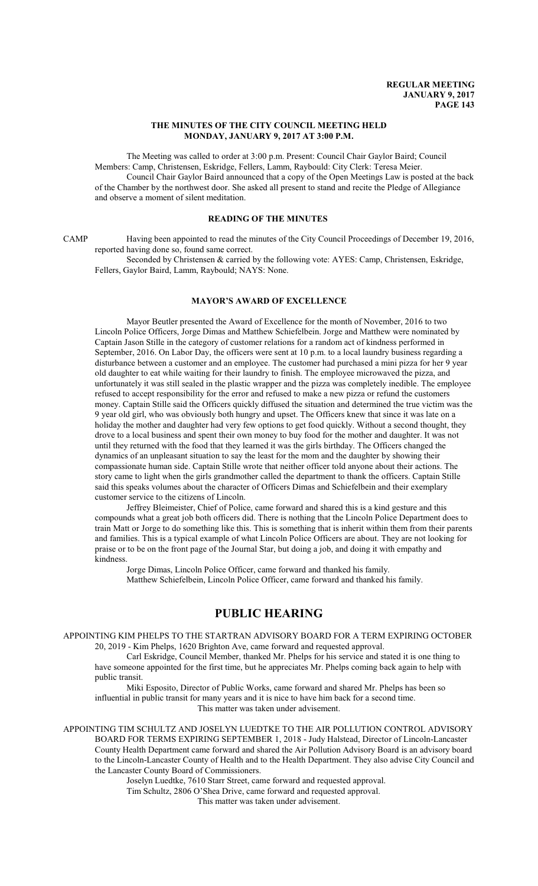### **THE MINUTES OF THE CITY COUNCIL MEETING HELD MONDAY, JANUARY 9, 2017 AT 3:00 P.M.**

The Meeting was called to order at 3:00 p.m. Present: Council Chair Gaylor Baird; Council Members: Camp, Christensen, Eskridge, Fellers, Lamm, Raybould: City Clerk: Teresa Meier. Council Chair Gaylor Baird announced that a copy of the Open Meetings Law is posted at the back of the Chamber by the northwest door. She asked all present to stand and recite the Pledge of Allegiance and observe a moment of silent meditation.

## **READING OF THE MINUTES**

CAMP Having been appointed to read the minutes of the City Council Proceedings of December 19, 2016, reported having done so, found same correct.

Seconded by Christensen & carried by the following vote: AYES: Camp, Christensen, Eskridge, Fellers, Gaylor Baird, Lamm, Raybould; NAYS: None.

### **MAYOR'S AWARD OF EXCELLENCE**

Mayor Beutler presented the Award of Excellence for the month of November, 2016 to two Lincoln Police Officers, Jorge Dimas and Matthew Schiefelbein. Jorge and Matthew were nominated by Captain Jason Stille in the category of customer relations for a random act of kindness performed in September, 2016. On Labor Day, the officers were sent at 10 p.m. to a local laundry business regarding a disturbance between a customer and an employee. The customer had purchased a mini pizza for her 9 year old daughter to eat while waiting for their laundry to finish. The employee microwaved the pizza, and unfortunately it was still sealed in the plastic wrapper and the pizza was completely inedible. The employee refused to accept responsibility for the error and refused to make a new pizza or refund the customers money. Captain Stille said the Officers quickly diffused the situation and determined the true victim was the 9 year old girl, who was obviously both hungry and upset. The Officers knew that since it was late on a holiday the mother and daughter had very few options to get food quickly. Without a second thought, they drove to a local business and spent their own money to buy food for the mother and daughter. It was not until they returned with the food that they learned it was the girls birthday. The Officers changed the dynamics of an unpleasant situation to say the least for the mom and the daughter by showing their compassionate human side. Captain Stille wrote that neither officer told anyone about their actions. The story came to light when the girls grandmother called the department to thank the officers. Captain Stille said this speaks volumes about the character of Officers Dimas and Schiefelbein and their exemplary customer service to the citizens of Lincoln.

Jeffrey Bleimeister, Chief of Police, came forward and shared this is a kind gesture and this compounds what a great job both officers did. There is nothing that the Lincoln Police Department does to train Matt or Jorge to do something like this. This is something that is inherit within them from their parents and families. This is a typical example of what Lincoln Police Officers are about. They are not looking for praise or to be on the front page of the Journal Star, but doing a job, and doing it with empathy and kindness.

Jorge Dimas, Lincoln Police Officer, came forward and thanked his family. Matthew Schiefelbein, Lincoln Police Officer, came forward and thanked his family.

# **PUBLIC HEARING**

APPOINTING KIM PHELPS TO THE STARTRAN ADVISORY BOARD FOR A TERM EXPIRING OCTOBER 20, 2019 - Kim Phelps, 1620 Brighton Ave, came forward and requested approval.

Carl Eskridge, Council Member, thanked Mr. Phelps for his service and stated it is one thing to have someone appointed for the first time, but he appreciates Mr. Phelps coming back again to help with public transit.

Miki Esposito, Director of Public Works, came forward and shared Mr. Phelps has been so influential in public transit for many years and it is nice to have him back for a second time. This matter was taken under advisement.

APPOINTING TIM SCHULTZ AND JOSELYN LUEDTKE TO THE AIR POLLUTION CONTROL ADVISORY BOARD FOR TERMS EXPIRING SEPTEMBER 1, 2018 - Judy Halstead, Director of Lincoln-Lancaster County Health Department came forward and shared the Air Pollution Advisory Board is an advisory board to the Lincoln-Lancaster County of Health and to the Health Department. They also advise City Council and the Lancaster County Board of Commissioners.

Joselyn Luedtke, 7610 Starr Street, came forward and requested approval.

Tim Schultz, 2806 O'Shea Drive, came forward and requested approval.

This matter was taken under advisement.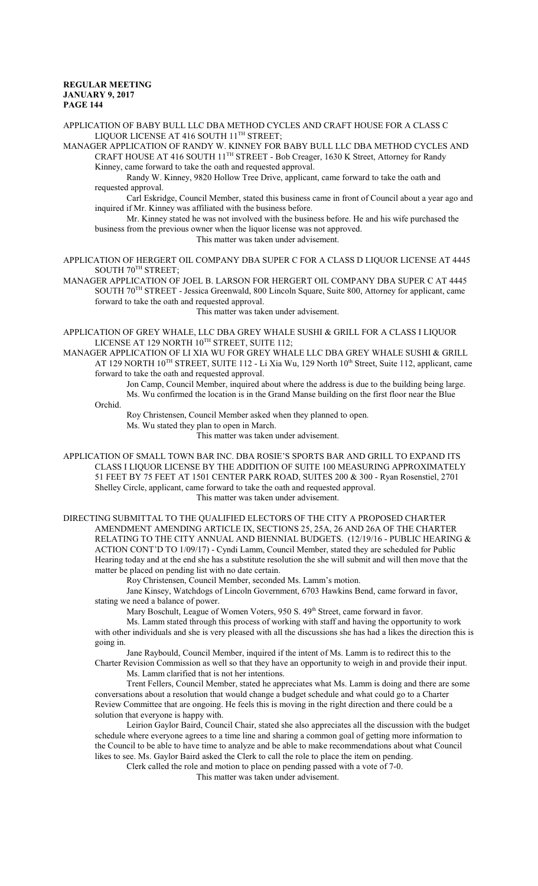APPLICATION OF BABY BULL LLC DBA METHOD CYCLES AND CRAFT HOUSE FOR A CLASS C LIQUOR LICENSE AT 416 SOUTH 11 TH STREET;

MANAGER APPLICATION OF RANDY W. KINNEY FOR BABY BULL LLC DBA METHOD CYCLES AND CRAFT HOUSE AT 416 SOUTH 11<sup>TH</sup> STREET - Bob Creager, 1630 K Street, Attorney for Randy

Kinney, came forward to take the oath and requested approval.

Randy W. Kinney, 9820 Hollow Tree Drive, applicant, came forward to take the oath and requested approval.

Carl Eskridge, Council Member, stated this business came in front of Council about a year ago and inquired if Mr. Kinney was affiliated with the business before.

Mr. Kinney stated he was not involved with the business before. He and his wife purchased the business from the previous owner when the liquor license was not approved.

This matter was taken under advisement.

APPLICATION OF HERGERT OIL COMPANY DBA SUPER C FOR A CLASS D LIQUOR LICENSE AT 4445  $S$ OUTH  $70^{TH}$  STREET;

MANAGER APPLICATION OF JOEL B. LARSON FOR HERGERT OIL COMPANY DBA SUPER C AT 4445 SOUTH 70<sup>TH</sup> STREET - Jessica Greenwald, 800 Lincoln Square, Suite 800, Attorney for applicant, came forward to take the oath and requested approval.

This matter was taken under advisement.

APPLICATION OF GREY WHALE, LLC DBA GREY WHALE SUSHI & GRILL FOR A CLASS I LIQUOR LICENSE AT 129 NORTH  $10^{TH}$  STREET, SUITE 112;

MANAGER APPLICATION OF LI XIA WU FOR GREY WHALE LLC DBA GREY WHALE SUSHI & GRILL AT 129 NORTH 10<sup>TH</sup> STREET, SUITE 112 - Li Xia Wu, 129 North 10<sup>th</sup> Street, Suite 112, applicant, came forward to take the oath and requested approval.

Jon Camp, Council Member, inquired about where the address is due to the building being large. Ms. Wu confirmed the location is in the Grand Manse building on the first floor near the Blue

Orchid.

Roy Christensen, Council Member asked when they planned to open.

Ms. Wu stated they plan to open in March.

This matter was taken under advisement.

APPLICATION OF SMALL TOWN BAR INC. DBA ROSIE'S SPORTS BAR AND GRILL TO EXPAND ITS CLASS I LIQUOR LICENSE BY THE ADDITION OF SUITE 100 MEASURING APPROXIMATELY 51 FEET BY 75 FEET AT 1501 CENTER PARK ROAD, SUITES 200 & 300 - Ryan Rosenstiel, 2701 Shelley Circle, applicant, came forward to take the oath and requested approval.

This matter was taken under advisement.

DIRECTING SUBMITTAL TO THE QUALIFIED ELECTORS OF THE CITY A PROPOSED CHARTER AMENDMENT AMENDING ARTICLE IX, SECTIONS 25, 25A, 26 AND 26A OF THE CHARTER RELATING TO THE CITY ANNUAL AND BIENNIAL BUDGETS. (12/19/16 - PUBLIC HEARING & ACTION CONT'D TO 1/09/17) - Cyndi Lamm, Council Member, stated they are scheduled for Public Hearing today and at the end she has a substitute resolution the she will submit and will then move that the matter be placed on pending list with no date certain.

Roy Christensen, Council Member, seconded Ms. Lamm's motion.

Jane Kinsey, Watchdogs of Lincoln Government, 6703 Hawkins Bend, came forward in favor, stating we need a balance of power.

Mary Boschult, League of Women Voters, 950 S. 49<sup>th</sup> Street, came forward in favor.

Ms. Lamm stated through this process of working with staff and having the opportunity to work with other individuals and she is very pleased with all the discussions she has had a likes the direction this is going in.

Jane Raybould, Council Member, inquired if the intent of Ms. Lamm is to redirect this to the

Charter Revision Commission as well so that they have an opportunity to weigh in and provide their input. Ms. Lamm clarified that is not her intentions.

Trent Fellers, Council Member, stated he appreciates what Ms. Lamm is doing and there are some conversations about a resolution that would change a budget schedule and what could go to a Charter Review Committee that are ongoing. He feels this is moving in the right direction and there could be a solution that everyone is happy with.

Leirion Gaylor Baird, Council Chair, stated she also appreciates all the discussion with the budget schedule where everyone agrees to a time line and sharing a common goal of getting more information to the Council to be able to have time to analyze and be able to make recommendations about what Council likes to see. Ms. Gaylor Baird asked the Clerk to call the role to place the item on pending.

Clerk called the role and motion to place on pending passed with a vote of 7-0.

This matter was taken under advisement.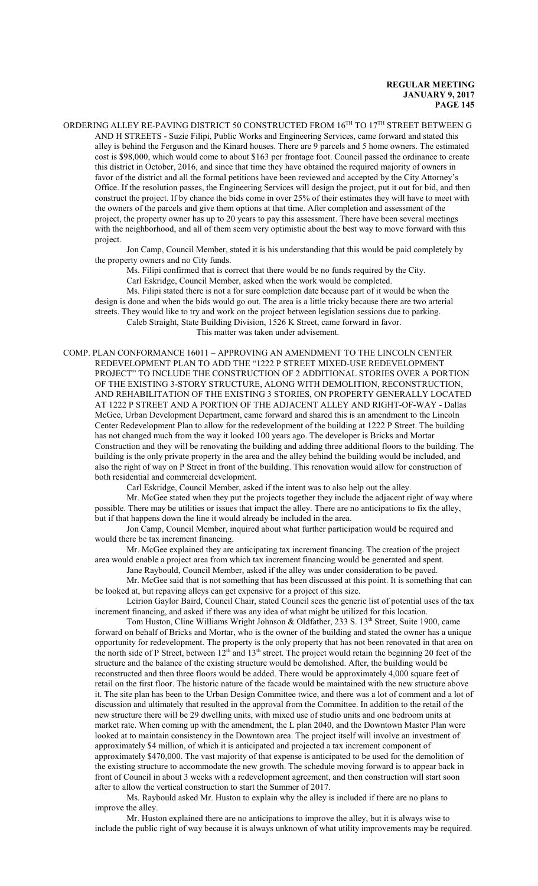ORDERING ALLEY RE-PAVING DISTRICT 50 CONSTRUCTED FROM  $16^{\texttt{TH}}$  TO  $17^{\texttt{TH}}$  STREET BETWEEN G AND H STREETS - Suzie Filipi, Public Works and Engineering Services, came forward and stated this alley is behind the Ferguson and the Kinard houses. There are 9 parcels and 5 home owners. The estimated cost is \$98,000, which would come to about \$163 per frontage foot. Council passed the ordinance to create this district in October, 2016, and since that time they have obtained the required majority of owners in favor of the district and all the formal petitions have been reviewed and accepted by the City Attorney's Office. If the resolution passes, the Engineering Services will design the project, put it out for bid, and then construct the project. If by chance the bids come in over 25% of their estimates they will have to meet with the owners of the parcels and give them options at that time. After completion and assessment of the project, the property owner has up to 20 years to pay this assessment. There have been several meetings with the neighborhood, and all of them seem very optimistic about the best way to move forward with this project.

Jon Camp, Council Member, stated it is his understanding that this would be paid completely by the property owners and no City funds.

Ms. Filipi confirmed that is correct that there would be no funds required by the City.

Carl Eskridge, Council Member, asked when the work would be completed.

Ms. Filipi stated there is not a for sure completion date because part of it would be when the design is done and when the bids would go out. The area is a little tricky because there are two arterial streets. They would like to try and work on the project between legislation sessions due to parking.

Caleb Straight, State Building Division, 1526 K Street, came forward in favor. This matter was taken under advisement.

COMP. PLAN CONFORMANCE 16011 – APPROVING AN AMENDMENT TO THE LINCOLN CENTER REDEVELOPMENT PLAN TO ADD THE "1222 P STREET MIXED-USE REDEVELOPMENT PROJECT" TO INCLUDE THE CONSTRUCTION OF 2 ADDITIONAL STORIES OVER A PORTION OF THE EXISTING 3-STORY STRUCTURE, ALONG WITH DEMOLITION, RECONSTRUCTION, AND REHABILITATION OF THE EXISTING 3 STORIES, ON PROPERTY GENERALLY LOCATED AT 1222 P STREET AND A PORTION OF THE ADJACENT ALLEY AND RIGHT-OF-WAY - Dallas McGee, Urban Development Department, came forward and shared this is an amendment to the Lincoln Center Redevelopment Plan to allow for the redevelopment of the building at 1222 P Street. The building has not changed much from the way it looked 100 years ago. The developer is Bricks and Mortar Construction and they will be renovating the building and adding three additional floors to the building. The building is the only private property in the area and the alley behind the building would be included, and also the right of way on P Street in front of the building. This renovation would allow for construction of both residential and commercial development.

Carl Eskridge, Council Member, asked if the intent was to also help out the alley.

Mr. McGee stated when they put the projects together they include the adjacent right of way where possible. There may be utilities or issues that impact the alley. There are no anticipations to fix the alley, but if that happens down the line it would already be included in the area.

Jon Camp, Council Member, inquired about what further participation would be required and would there be tax increment financing.

Mr. McGee explained they are anticipating tax increment financing. The creation of the project area would enable a project area from which tax increment financing would be generated and spent.

Jane Raybould, Council Member, asked if the alley was under consideration to be paved.

Mr. McGee said that is not something that has been discussed at this point. It is something that can be looked at, but repaving alleys can get expensive for a project of this size.

Leirion Gaylor Baird, Council Chair, stated Council sees the generic list of potential uses of the tax increment financing, and asked if there was any idea of what might be utilized for this location.

Tom Huston, Cline Williams Wright Johnson & Oldfather, 233 S. 13th Street, Suite 1900, came forward on behalf of Bricks and Mortar, who is the owner of the building and stated the owner has a unique opportunity for redevelopment. The property is the only property that has not been renovated in that area on the north side of P Street, between  $12<sup>th</sup>$  and  $13<sup>th</sup>$  street. The project would retain the beginning 20 feet of the structure and the balance of the existing structure would be demolished. After, the building would be reconstructed and then three floors would be added. There would be approximately 4,000 square feet of retail on the first floor. The historic nature of the facade would be maintained with the new structure above it. The site plan has been to the Urban Design Committee twice, and there was a lot of comment and a lot of discussion and ultimately that resulted in the approval from the Committee. In addition to the retail of the new structure there will be 29 dwelling units, with mixed use of studio units and one bedroom units at market rate. When coming up with the amendment, the L plan 2040, and the Downtown Master Plan were looked at to maintain consistency in the Downtown area. The project itself will involve an investment of approximately \$4 million, of which it is anticipated and projected a tax increment component of approximately \$470,000. The vast majority of that expense is anticipated to be used for the demolition of the existing structure to accommodate the new growth. The schedule moving forward is to appear back in front of Council in about 3 weeks with a redevelopment agreement, and then construction will start soon after to allow the vertical construction to start the Summer of 2017.

Ms. Raybould asked Mr. Huston to explain why the alley is included if there are no plans to improve the alley.

Mr. Huston explained there are no anticipations to improve the alley, but it is always wise to include the public right of way because it is always unknown of what utility improvements may be required.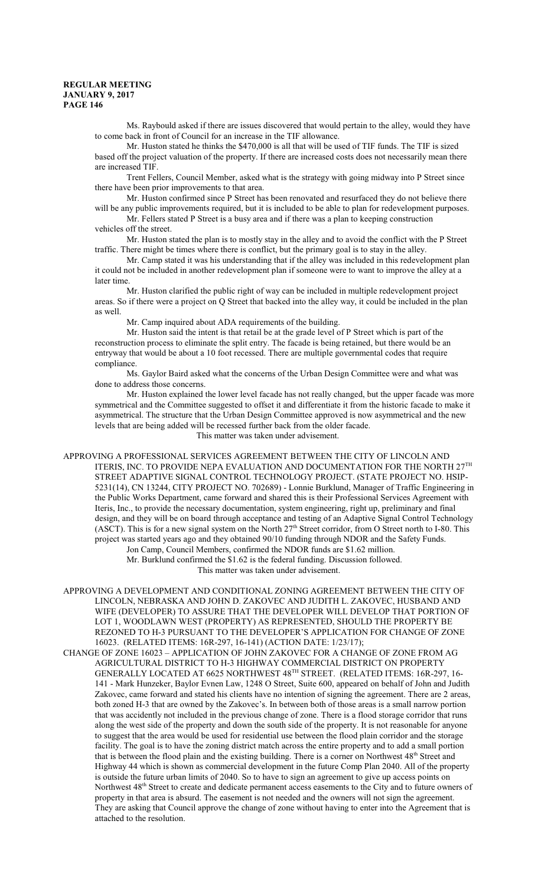Ms. Raybould asked if there are issues discovered that would pertain to the alley, would they have to come back in front of Council for an increase in the TIF allowance.

Mr. Huston stated he thinks the \$470,000 is all that will be used of TIF funds. The TIF is sized based off the project valuation of the property. If there are increased costs does not necessarily mean there are increased TIF.

Trent Fellers, Council Member, asked what is the strategy with going midway into P Street since there have been prior improvements to that area.

Mr. Huston confirmed since P Street has been renovated and resurfaced they do not believe there will be any public improvements required, but it is included to be able to plan for redevelopment purposes.

Mr. Fellers stated P Street is a busy area and if there was a plan to keeping construction vehicles off the street.

Mr. Huston stated the plan is to mostly stay in the alley and to avoid the conflict with the P Street traffic. There might be times where there is conflict, but the primary goal is to stay in the alley.

Mr. Camp stated it was his understanding that if the alley was included in this redevelopment plan it could not be included in another redevelopment plan if someone were to want to improve the alley at a later time.

Mr. Huston clarified the public right of way can be included in multiple redevelopment project areas. So if there were a project on Q Street that backed into the alley way, it could be included in the plan as well.

Mr. Camp inquired about ADA requirements of the building.

Mr. Huston said the intent is that retail be at the grade level of P Street which is part of the reconstruction process to eliminate the split entry. The facade is being retained, but there would be an entryway that would be about a 10 foot recessed. There are multiple governmental codes that require compliance.

Ms. Gaylor Baird asked what the concerns of the Urban Design Committee were and what was done to address those concerns.

Mr. Huston explained the lower level facade has not really changed, but the upper facade was more symmetrical and the Committee suggested to offset it and differentiate it from the historic facade to make it asymmetrical. The structure that the Urban Design Committee approved is now asymmetrical and the new levels that are being added will be recessed further back from the older facade. This matter was taken under advisement.

APPROVING A PROFESSIONAL SERVICES AGREEMENT BETWEEN THE CITY OF LINCOLN AND ITERIS, INC. TO PROVIDE NEPA EVALUATION AND DOCUMENTATION FOR THE NORTH  $27^{\rm{TH}}$ STREET ADAPTIVE SIGNAL CONTROL TECHNOLOGY PROJECT. (STATE PROJECT NO. HSIP-5231(14), CN 13244, CITY PROJECT NO. 702689) - Lonnie Burklund, Manager of Traffic Engineering in the Public Works Department, came forward and shared this is their Professional Services Agreement with Iteris, Inc., to provide the necessary documentation, system engineering, right up, preliminary and final design, and they will be on board through acceptance and testing of an Adaptive Signal Control Technology (ASCT). This is for a new signal system on the North  $27<sup>th</sup>$  Street corridor, from O Street north to I-80. This project was started years ago and they obtained 90/10 funding through NDOR and the Safety Funds.

Jon Camp, Council Members, confirmed the NDOR funds are \$1.62 million.

Mr. Burklund confirmed the \$1.62 is the federal funding. Discussion followed. This matter was taken under advisement.

APPROVING A DEVELOPMENT AND CONDITIONAL ZONING AGREEMENT BETWEEN THE CITY OF LINCOLN, NEBRASKA AND JOHN D. ZAKOVEC AND JUDITH L. ZAKOVEC, HUSBAND AND WIFE (DEVELOPER) TO ASSURE THAT THE DEVELOPER WILL DEVELOP THAT PORTION OF LOT 1, WOODLAWN WEST (PROPERTY) AS REPRESENTED, SHOULD THE PROPERTY BE REZONED TO H-3 PURSUANT TO THE DEVELOPER'S APPLICATION FOR CHANGE OF ZONE 16023. (RELATED ITEMS: 16R-297, 16-141) (ACTION DATE: 1/23/17);

CHANGE OF ZONE 16023 – APPLICATION OF JOHN ZAKOVEC FOR A CHANGE OF ZONE FROM AG AGRICULTURAL DISTRICT TO H-3 HIGHWAY COMMERCIAL DISTRICT ON PROPERTY GENERALLY LOCATED AT 6625 NORTHWEST 48 TH STREET. (RELATED ITEMS: 16R-297, 16- 141 - Mark Hunzeker, Baylor Evnen Law, 1248 O Street, Suite 600, appeared on behalf of John and Judith Zakovec, came forward and stated his clients have no intention of signing the agreement. There are 2 areas, both zoned H-3 that are owned by the Zakovec's. In between both of those areas is a small narrow portion that was accidently not included in the previous change of zone. There is a flood storage corridor that runs along the west side of the property and down the south side of the property. It is not reasonable for anyone to suggest that the area would be used for residential use between the flood plain corridor and the storage facility. The goal is to have the zoning district match across the entire property and to add a small portion that is between the flood plain and the existing building. There is a corner on Northwest 48<sup>th</sup> Street and Highway 44 which is shown as commercial development in the future Comp Plan 2040. All of the property is outside the future urban limits of 2040. So to have to sign an agreement to give up access points on Northwest 48<sup>th</sup> Street to create and dedicate permanent access easements to the City and to future owners of property in that area is absurd. The easement is not needed and the owners will not sign the agreement. They are asking that Council approve the change of zone without having to enter into the Agreement that is attached to the resolution.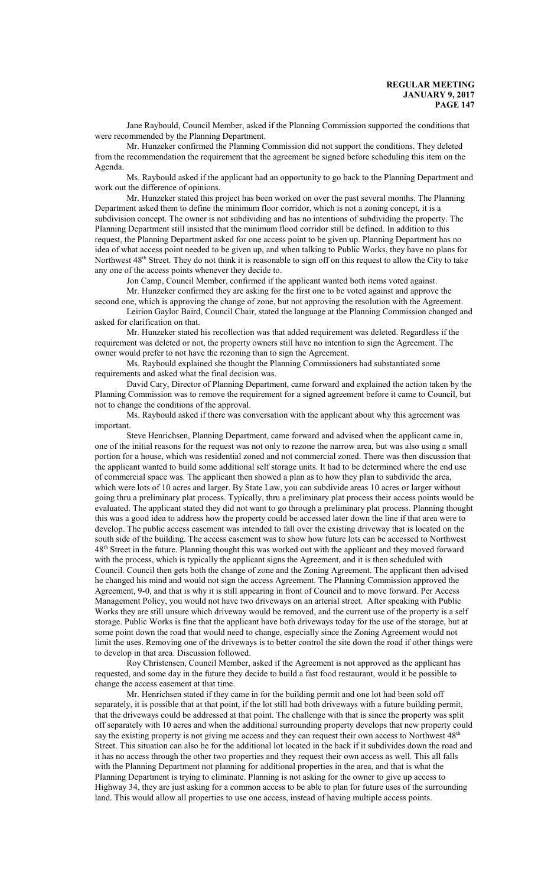Jane Raybould, Council Member, asked if the Planning Commission supported the conditions that were recommended by the Planning Department.

Mr. Hunzeker confirmed the Planning Commission did not support the conditions. They deleted from the recommendation the requirement that the agreement be signed before scheduling this item on the Agenda.

Ms. Raybould asked if the applicant had an opportunity to go back to the Planning Department and work out the difference of opinions.

Mr. Hunzeker stated this project has been worked on over the past several months. The Planning Department asked them to define the minimum floor corridor, which is not a zoning concept, it is a subdivision concept. The owner is not subdividing and has no intentions of subdividing the property. The Planning Department still insisted that the minimum flood corridor still be defined. In addition to this request, the Planning Department asked for one access point to be given up. Planning Department has no idea of what access point needed to be given up, and when talking to Public Works, they have no plans for Northwest 48<sup>th</sup> Street. They do not think it is reasonable to sign off on this request to allow the City to take any one of the access points whenever they decide to.

Jon Camp, Council Member, confirmed if the applicant wanted both items voted against.

Mr. Hunzeker confirmed they are asking for the first one to be voted against and approve the second one, which is approving the change of zone, but not approving the resolution with the Agreement.

Leirion Gaylor Baird, Council Chair, stated the language at the Planning Commission changed and asked for clarification on that.

Mr. Hunzeker stated his recollection was that added requirement was deleted. Regardless if the requirement was deleted or not, the property owners still have no intention to sign the Agreement. The owner would prefer to not have the rezoning than to sign the Agreement.

Ms. Raybould explained she thought the Planning Commissioners had substantiated some requirements and asked what the final decision was.

David Cary, Director of Planning Department, came forward and explained the action taken by the Planning Commission was to remove the requirement for a signed agreement before it came to Council, but not to change the conditions of the approval.

Ms. Raybould asked if there was conversation with the applicant about why this agreement was important.

Steve Henrichsen, Planning Department, came forward and advised when the applicant came in, one of the initial reasons for the request was not only to rezone the narrow area, but was also using a small portion for a house, which was residential zoned and not commercial zoned. There was then discussion that the applicant wanted to build some additional self storage units. It had to be determined where the end use of commercial space was. The applicant then showed a plan as to how they plan to subdivide the area, which were lots of 10 acres and larger. By State Law, you can subdivide areas 10 acres or larger without going thru a preliminary plat process. Typically, thru a preliminary plat process their access points would be evaluated. The applicant stated they did not want to go through a preliminary plat process. Planning thought this was a good idea to address how the property could be accessed later down the line if that area were to develop. The public access easement was intended to fall over the existing driveway that is located on the south side of the building. The access easement was to show how future lots can be accessed to Northwest 48<sup>th</sup> Street in the future. Planning thought this was worked out with the applicant and they moved forward with the process, which is typically the applicant signs the Agreement, and it is then scheduled with Council. Council then gets both the change of zone and the Zoning Agreement. The applicant then advised he changed his mind and would not sign the access Agreement. The Planning Commission approved the Agreement, 9-0, and that is why it is still appearing in front of Council and to move forward. Per Access Management Policy, you would not have two driveways on an arterial street. After speaking with Public Works they are still unsure which driveway would be removed, and the current use of the property is a self storage. Public Works is fine that the applicant have both driveways today for the use of the storage, but at some point down the road that would need to change, especially since the Zoning Agreement would not limit the uses. Removing one of the driveways is to better control the site down the road if other things were to develop in that area. Discussion followed.

Roy Christensen, Council Member, asked if the Agreement is not approved as the applicant has requested, and some day in the future they decide to build a fast food restaurant, would it be possible to change the access easement at that time.

Mr. Henrichsen stated if they came in for the building permit and one lot had been sold off separately, it is possible that at that point, if the lot still had both driveways with a future building permit, that the driveways could be addressed at that point. The challenge with that is since the property was split off separately with 10 acres and when the additional surrounding property develops that new property could say the existing property is not giving me access and they can request their own access to Northwest 48<sup>th</sup> Street. This situation can also be for the additional lot located in the back if it subdivides down the road and it has no access through the other two properties and they request their own access as well. This all falls with the Planning Department not planning for additional properties in the area, and that is what the Planning Department is trying to eliminate. Planning is not asking for the owner to give up access to Highway 34, they are just asking for a common access to be able to plan for future uses of the surrounding land. This would allow all properties to use one access, instead of having multiple access points.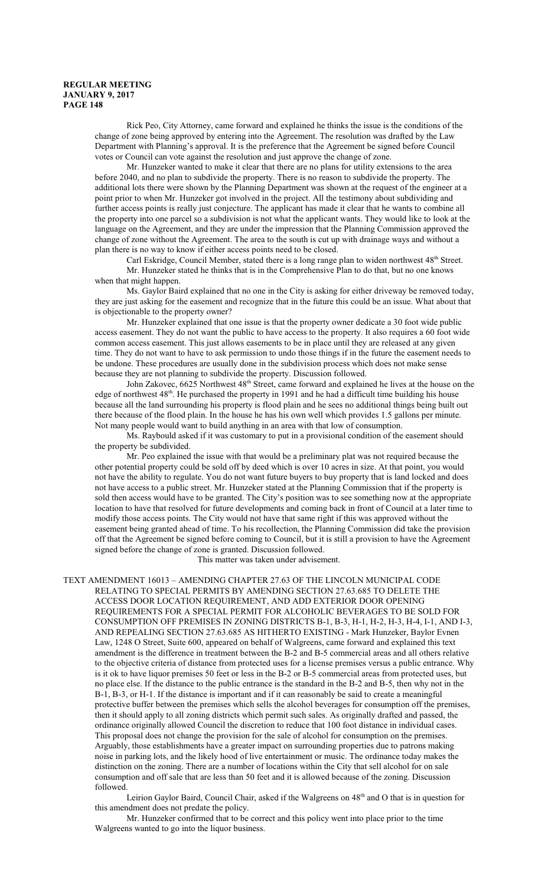Rick Peo, City Attorney, came forward and explained he thinks the issue is the conditions of the change of zone being approved by entering into the Agreement. The resolution was drafted by the Law Department with Planning's approval. It is the preference that the Agreement be signed before Council votes or Council can vote against the resolution and just approve the change of zone.

Mr. Hunzeker wanted to make it clear that there are no plans for utility extensions to the area before 2040, and no plan to subdivide the property. There is no reason to subdivide the property. The additional lots there were shown by the Planning Department was shown at the request of the engineer at a point prior to when Mr. Hunzeker got involved in the project. All the testimony about subdividing and further access points is really just conjecture. The applicant has made it clear that he wants to combine all the property into one parcel so a subdivision is not what the applicant wants. They would like to look at the language on the Agreement, and they are under the impression that the Planning Commission approved the change of zone without the Agreement. The area to the south is cut up with drainage ways and without a plan there is no way to know if either access points need to be closed.

Carl Eskridge, Council Member, stated there is a long range plan to widen northwest 48<sup>th</sup> Street.

Mr. Hunzeker stated he thinks that is in the Comprehensive Plan to do that, but no one knows when that might happen.

Ms. Gaylor Baird explained that no one in the City is asking for either driveway be removed today, they are just asking for the easement and recognize that in the future this could be an issue. What about that is objectionable to the property owner?

Mr. Hunzeker explained that one issue is that the property owner dedicate a 30 foot wide public access easement. They do not want the public to have access to the property. It also requires a 60 foot wide common access easement. This just allows easements to be in place until they are released at any given time. They do not want to have to ask permission to undo those things if in the future the easement needs to be undone. These procedures are usually done in the subdivision process which does not make sense because they are not planning to subdivide the property. Discussion followed.

John Zakovec, 6625 Northwest 48<sup>th</sup> Street, came forward and explained he lives at the house on the edge of northwest 48<sup>th</sup>. He purchased the property in 1991 and he had a difficult time building his house because all the land surrounding his property is flood plain and he sees no additional things being built out there because of the flood plain. In the house he has his own well which provides 1.5 gallons per minute. Not many people would want to build anything in an area with that low of consumption.

Ms. Raybould asked if it was customary to put in a provisional condition of the easement should the property be subdivided.

Mr. Peo explained the issue with that would be a preliminary plat was not required because the other potential property could be sold off by deed which is over 10 acres in size. At that point, you would not have the ability to regulate. You do not want future buyers to buy property that is land locked and does not have access to a public street. Mr. Hunzeker stated at the Planning Commission that if the property is sold then access would have to be granted. The City's position was to see something now at the appropriate location to have that resolved for future developments and coming back in front of Council at a later time to modify those access points. The City would not have that same right if this was approved without the easement being granted ahead of time. To his recollection, the Planning Commission did take the provision off that the Agreement be signed before coming to Council, but it is still a provision to have the Agreement signed before the change of zone is granted. Discussion followed.

This matter was taken under advisement.

TEXT AMENDMENT 16013 – AMENDING CHAPTER 27.63 OF THE LINCOLN MUNICIPAL CODE RELATING TO SPECIAL PERMITS BY AMENDING SECTION 27.63.685 TO DELETE THE ACCESS DOOR LOCATION REQUIREMENT, AND ADD EXTERIOR DOOR OPENING REQUIREMENTS FOR A SPECIAL PERMIT FOR ALCOHOLIC BEVERAGES TO BE SOLD FOR CONSUMPTION OFF PREMISES IN ZONING DISTRICTS B-1, B-3, H-1, H-2, H-3, H-4, I-1, AND I-3, AND REPEALING SECTION 27.63.685 AS HITHERTO EXISTING - Mark Hunzeker, Baylor Evnen Law, 1248 O Street, Suite 600, appeared on behalf of Walgreens, came forward and explained this text amendment is the difference in treatment between the B-2 and B-5 commercial areas and all others relative to the objective criteria of distance from protected uses for a license premises versus a public entrance. Why is it ok to have liquor premises 50 feet or less in the B-2 or B-5 commercial areas from protected uses, but no place else. If the distance to the public entrance is the standard in the B-2 and B-5, then why not in the B-1, B-3, or H-1. If the distance is important and if it can reasonably be said to create a meaningful protective buffer between the premises which sells the alcohol beverages for consumption off the premises, then it should apply to all zoning districts which permit such sales. As originally drafted and passed, the ordinance originally allowed Council the discretion to reduce that 100 foot distance in individual cases. This proposal does not change the provision for the sale of alcohol for consumption on the premises. Arguably, those establishments have a greater impact on surrounding properties due to patrons making noise in parking lots, and the likely hood of live entertainment or music. The ordinance today makes the distinction on the zoning. There are a number of locations within the City that sell alcohol for on sale consumption and off sale that are less than 50 feet and it is allowed because of the zoning. Discussion followed.

Leirion Gaylor Baird, Council Chair, asked if the Walgreens on 48<sup>th</sup> and O that is in question for this amendment does not predate the policy.

Mr. Hunzeker confirmed that to be correct and this policy went into place prior to the time Walgreens wanted to go into the liquor business.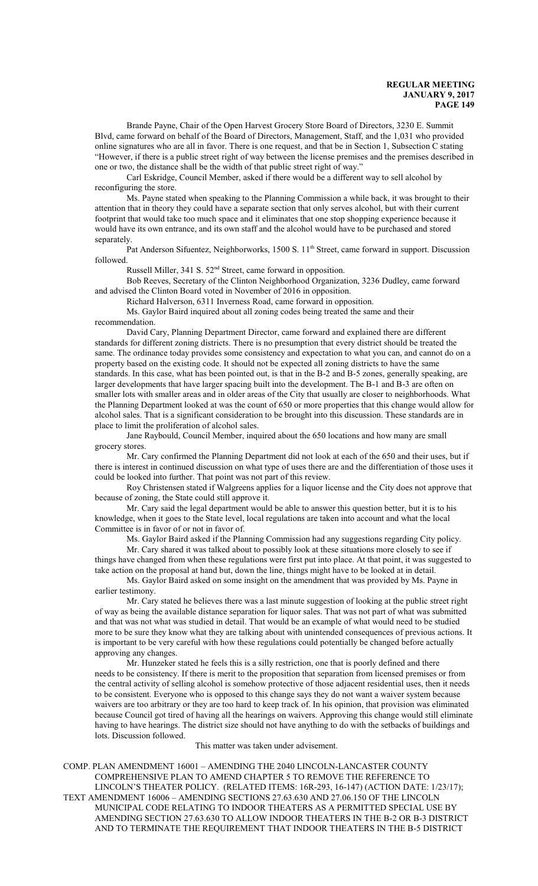Brande Payne, Chair of the Open Harvest Grocery Store Board of Directors, 3230 E. Summit Blvd, came forward on behalf of the Board of Directors, Management, Staff, and the 1,031 who provided online signatures who are all in favor. There is one request, and that be in Section 1, Subsection C stating "However, if there is a public street right of way between the license premises and the premises described in one or two, the distance shall be the width of that public street right of way."

Carl Eskridge, Council Member, asked if there would be a different way to sell alcohol by reconfiguring the store.

Ms. Payne stated when speaking to the Planning Commission a while back, it was brought to their attention that in theory they could have a separate section that only serves alcohol, but with their current footprint that would take too much space and it eliminates that one stop shopping experience because it would have its own entrance, and its own staff and the alcohol would have to be purchased and stored separately.

Pat Anderson Sifuentez, Neighborworks, 1500 S. 11<sup>th</sup> Street, came forward in support. Discussion followed.

Russell Miller, 341 S. 52<sup>nd</sup> Street, came forward in opposition.

Bob Reeves, Secretary of the Clinton Neighborhood Organization, 3236 Dudley, came forward and advised the Clinton Board voted in November of 2016 in opposition.

Richard Halverson, 6311 Inverness Road, came forward in opposition.

Ms. Gaylor Baird inquired about all zoning codes being treated the same and their recommendation.

David Cary, Planning Department Director, came forward and explained there are different standards for different zoning districts. There is no presumption that every district should be treated the same. The ordinance today provides some consistency and expectation to what you can, and cannot do on a property based on the existing code. It should not be expected all zoning districts to have the same standards. In this case, what has been pointed out, is that in the B-2 and B-5 zones, generally speaking, are larger developments that have larger spacing built into the development. The B-1 and B-3 are often on smaller lots with smaller areas and in older areas of the City that usually are closer to neighborhoods. What the Planning Department looked at was the count of 650 or more properties that this change would allow for alcohol sales. That is a significant consideration to be brought into this discussion. These standards are in place to limit the proliferation of alcohol sales.

Jane Raybould, Council Member, inquired about the 650 locations and how many are small grocery stores.

Mr. Cary confirmed the Planning Department did not look at each of the 650 and their uses, but if there is interest in continued discussion on what type of uses there are and the differentiation of those uses it could be looked into further. That point was not part of this review.

Roy Christensen stated if Walgreens applies for a liquor license and the City does not approve that because of zoning, the State could still approve it.

Mr. Cary said the legal department would be able to answer this question better, but it is to his knowledge, when it goes to the State level, local regulations are taken into account and what the local Committee is in favor of or not in favor of.

Ms. Gaylor Baird asked if the Planning Commission had any suggestions regarding City policy.

Mr. Cary shared it was talked about to possibly look at these situations more closely to see if things have changed from when these regulations were first put into place. At that point, it was suggested to take action on the proposal at hand but, down the line, things might have to be looked at in detail.

Ms. Gaylor Baird asked on some insight on the amendment that was provided by Ms. Payne in earlier testimony.

Mr. Cary stated he believes there was a last minute suggestion of looking at the public street right of way as being the available distance separation for liquor sales. That was not part of what was submitted and that was not what was studied in detail. That would be an example of what would need to be studied more to be sure they know what they are talking about with unintended consequences of previous actions. It is important to be very careful with how these regulations could potentially be changed before actually approving any changes.

Mr. Hunzeker stated he feels this is a silly restriction, one that is poorly defined and there needs to be consistency. If there is merit to the proposition that separation from licensed premises or from the central activity of selling alcohol is somehow protective of those adjacent residential uses, then it needs to be consistent. Everyone who is opposed to this change says they do not want a waiver system because waivers are too arbitrary or they are too hard to keep track of. In his opinion, that provision was eliminated because Council got tired of having all the hearings on waivers. Approving this change would still eliminate having to have hearings. The district size should not have anything to do with the setbacks of buildings and lots. Discussion followed.

This matter was taken under advisement.

COMP. PLAN AMENDMENT 16001 – AMENDING THE 2040 LINCOLN-LANCASTER COUNTY COMPREHENSIVE PLAN TO AMEND CHAPTER 5 TO REMOVE THE REFERENCE TO LINCOLN'S THEATER POLICY. (RELATED ITEMS: 16R-293, 16-147) (ACTION DATE: 1/23/17); TEXT AMENDMENT 16006 – AMENDING SECTIONS 27.63.630 AND 27.06.150 OF THE LINCOLN MUNICIPAL CODE RELATING TO INDOOR THEATERS AS A PERMITTED SPECIAL USE BY AMENDING SECTION 27.63.630 TO ALLOW INDOOR THEATERS IN THE B-2 OR B-3 DISTRICT AND TO TERMINATE THE REQUIREMENT THAT INDOOR THEATERS IN THE B-5 DISTRICT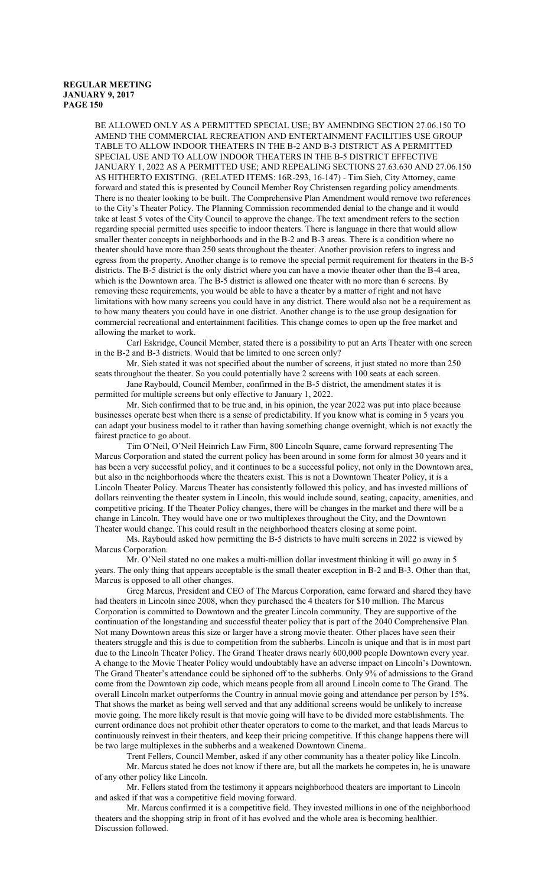BE ALLOWED ONLY AS A PERMITTED SPECIAL USE; BY AMENDING SECTION 27.06.150 TO AMEND THE COMMERCIAL RECREATION AND ENTERTAINMENT FACILITIES USE GROUP TABLE TO ALLOW INDOOR THEATERS IN THE B-2 AND B-3 DISTRICT AS A PERMITTED SPECIAL USE AND TO ALLOW INDOOR THEATERS IN THE B-5 DISTRICT EFFECTIVE JANUARY 1, 2022 AS A PERMITTED USE; AND REPEALING SECTIONS 27.63.630 AND 27.06.150 AS HITHERTO EXISTING. (RELATED ITEMS: 16R-293, 16-147) - Tim Sieh, City Attorney, came forward and stated this is presented by Council Member Roy Christensen regarding policy amendments. There is no theater looking to be built. The Comprehensive Plan Amendment would remove two references to the City's Theater Policy. The Planning Commission recommended denial to the change and it would take at least 5 votes of the City Council to approve the change. The text amendment refers to the section regarding special permitted uses specific to indoor theaters. There is language in there that would allow smaller theater concepts in neighborhoods and in the B-2 and B-3 areas. There is a condition where no theater should have more than 250 seats throughout the theater. Another provision refers to ingress and egress from the property. Another change is to remove the special permit requirement for theaters in the B-5 districts. The B-5 district is the only district where you can have a movie theater other than the B-4 area, which is the Downtown area. The B-5 district is allowed one theater with no more than 6 screens. By removing these requirements, you would be able to have a theater by a matter of right and not have limitations with how many screens you could have in any district. There would also not be a requirement as to how many theaters you could have in one district. Another change is to the use group designation for commercial recreational and entertainment facilities. This change comes to open up the free market and allowing the market to work.

Carl Eskridge, Council Member, stated there is a possibility to put an Arts Theater with one screen in the B-2 and B-3 districts. Would that be limited to one screen only?

Mr. Sieh stated it was not specified about the number of screens, it just stated no more than 250 seats throughout the theater. So you could potentially have 2 screens with 100 seats at each screen.

Jane Raybould, Council Member, confirmed in the B-5 district, the amendment states it is permitted for multiple screens but only effective to January 1, 2022.

Mr. Sieh confirmed that to be true and, in his opinion, the year 2022 was put into place because businesses operate best when there is a sense of predictability. If you know what is coming in 5 years you can adapt your business model to it rather than having something change overnight, which is not exactly the fairest practice to go about.

Tim O'Neil, O'Neil Heinrich Law Firm, 800 Lincoln Square, came forward representing The Marcus Corporation and stated the current policy has been around in some form for almost 30 years and it has been a very successful policy, and it continues to be a successful policy, not only in the Downtown area, but also in the neighborhoods where the theaters exist. This is not a Downtown Theater Policy, it is a Lincoln Theater Policy. Marcus Theater has consistently followed this policy, and has invested millions of dollars reinventing the theater system in Lincoln, this would include sound, seating, capacity, amenities, and competitive pricing. If the Theater Policy changes, there will be changes in the market and there will be a change in Lincoln. They would have one or two multiplexes throughout the City, and the Downtown Theater would change. This could result in the neighborhood theaters closing at some point.

Ms. Raybould asked how permitting the B-5 districts to have multi screens in 2022 is viewed by Marcus Corporation.

Mr. O'Neil stated no one makes a multi-million dollar investment thinking it will go away in 5 years. The only thing that appears acceptable is the small theater exception in B-2 and B-3. Other than that, Marcus is opposed to all other changes.

Greg Marcus, President and CEO of The Marcus Corporation, came forward and shared they have had theaters in Lincoln since 2008, when they purchased the 4 theaters for \$10 million. The Marcus Corporation is committed to Downtown and the greater Lincoln community. They are supportive of the continuation of the longstanding and successful theater policy that is part of the 2040 Comprehensive Plan. Not many Downtown areas this size or larger have a strong movie theater. Other places have seen their theaters struggle and this is due to competition from the subherbs. Lincoln is unique and that is in most part due to the Lincoln Theater Policy. The Grand Theater draws nearly 600,000 people Downtown every year. A change to the Movie Theater Policy would undoubtably have an adverse impact on Lincoln's Downtown. The Grand Theater's attendance could be siphoned off to the subherbs. Only 9% of admissions to the Grand come from the Downtown zip code, which means people from all around Lincoln come to The Grand. The overall Lincoln market outperforms the Country in annual movie going and attendance per person by 15%. That shows the market as being well served and that any additional screens would be unlikely to increase movie going. The more likely result is that movie going will have to be divided more establishments. The current ordinance does not prohibit other theater operators to come to the market, and that leads Marcus to continuously reinvest in their theaters, and keep their pricing competitive. If this change happens there will be two large multiplexes in the subherbs and a weakened Downtown Cinema.

Trent Fellers, Council Member, asked if any other community has a theater policy like Lincoln. Mr. Marcus stated he does not know if there are, but all the markets he competes in, he is unaware of any other policy like Lincoln.

Mr. Fellers stated from the testimony it appears neighborhood theaters are important to Lincoln and asked if that was a competitive field moving forward.

Mr. Marcus confirmed it is a competitive field. They invested millions in one of the neighborhood theaters and the shopping strip in front of it has evolved and the whole area is becoming healthier. Discussion followed.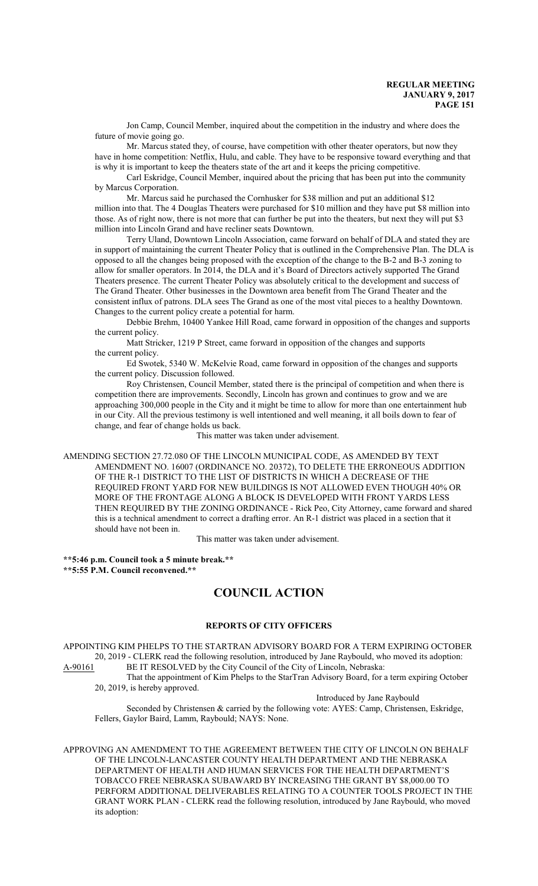Jon Camp, Council Member, inquired about the competition in the industry and where does the future of movie going go.

Mr. Marcus stated they, of course, have competition with other theater operators, but now they have in home competition: Netflix, Hulu, and cable. They have to be responsive toward everything and that is why it is important to keep the theaters state of the art and it keeps the pricing competitive.

Carl Eskridge, Council Member, inquired about the pricing that has been put into the community by Marcus Corporation.

Mr. Marcus said he purchased the Cornhusker for \$38 million and put an additional \$12 million into that. The 4 Douglas Theaters were purchased for \$10 million and they have put \$8 million into those. As of right now, there is not more that can further be put into the theaters, but next they will put \$3 million into Lincoln Grand and have recliner seats Downtown.

Terry Uland, Downtown Lincoln Association, came forward on behalf of DLA and stated they are in support of maintaining the current Theater Policy that is outlined in the Comprehensive Plan. The DLA is opposed to all the changes being proposed with the exception of the change to the B-2 and B-3 zoning to allow for smaller operators. In 2014, the DLA and it's Board of Directors actively supported The Grand Theaters presence. The current Theater Policy was absolutely critical to the development and success of The Grand Theater. Other businesses in the Downtown area benefit from The Grand Theater and the consistent influx of patrons. DLA sees The Grand as one of the most vital pieces to a healthy Downtown. Changes to the current policy create a potential for harm.

Debbie Brehm, 10400 Yankee Hill Road, came forward in opposition of the changes and supports the current policy.

Matt Stricker, 1219 P Street, came forward in opposition of the changes and supports the current policy.

Ed Swotek, 5340 W. McKelvie Road, came forward in opposition of the changes and supports the current policy. Discussion followed.

Roy Christensen, Council Member, stated there is the principal of competition and when there is competition there are improvements. Secondly, Lincoln has grown and continues to grow and we are approaching 300,000 people in the City and it might be time to allow for more than one entertainment hub in our City. All the previous testimony is well intentioned and well meaning, it all boils down to fear of change, and fear of change holds us back.

This matter was taken under advisement.

AMENDING SECTION 27.72.080 OF THE LINCOLN MUNICIPAL CODE, AS AMENDED BY TEXT AMENDMENT NO. 16007 (ORDINANCE NO. 20372), TO DELETE THE ERRONEOUS ADDITION OF THE R-1 DISTRICT TO THE LIST OF DISTRICTS IN WHICH A DECREASE OF THE REQUIRED FRONT YARD FOR NEW BUILDINGS IS NOT ALLOWED EVEN THOUGH 40% OR MORE OF THE FRONTAGE ALONG A BLOCK IS DEVELOPED WITH FRONT YARDS LESS THEN REQUIRED BY THE ZONING ORDINANCE - Rick Peo, City Attorney, came forward and shared this is a technical amendment to correct a drafting error. An R-1 district was placed in a section that it should have not been in.

This matter was taken under advisement.

**\*\*5:46 p.m. Council took a 5 minute break.\*\* \*\*5:55 P.M. Council reconvened.\*\***

# **COUNCIL ACTION**

### **REPORTS OF CITY OFFICERS**

APPOINTING KIM PHELPS TO THE STARTRAN ADVISORY BOARD FOR A TERM EXPIRING OCTOBER 20, 2019 - CLERK read the following resolution, introduced by Jane Raybould, who moved its adoption: A-90161 BE IT RESOLVED by the City Council of the City of Lincoln, Nebraska:

That the appointment of Kim Phelps to the StarTran Advisory Board, for a term expiring October 20, 2019, is hereby approved.

Introduced by Jane Raybould

Seconded by Christensen & carried by the following vote: AYES: Camp, Christensen, Eskridge, Fellers, Gaylor Baird, Lamm, Raybould; NAYS: None.

APPROVING AN AMENDMENT TO THE AGREEMENT BETWEEN THE CITY OF LINCOLN ON BEHALF OF THE LINCOLN-LANCASTER COUNTY HEALTH DEPARTMENT AND THE NEBRASKA DEPARTMENT OF HEALTH AND HUMAN SERVICES FOR THE HEALTH DEPARTMENT'S TOBACCO FREE NEBRASKA SUBAWARD BY INCREASING THE GRANT BY \$8,000.00 TO PERFORM ADDITIONAL DELIVERABLES RELATING TO A COUNTER TOOLS PROJECT IN THE GRANT WORK PLAN - CLERK read the following resolution, introduced by Jane Raybould, who moved its adoption: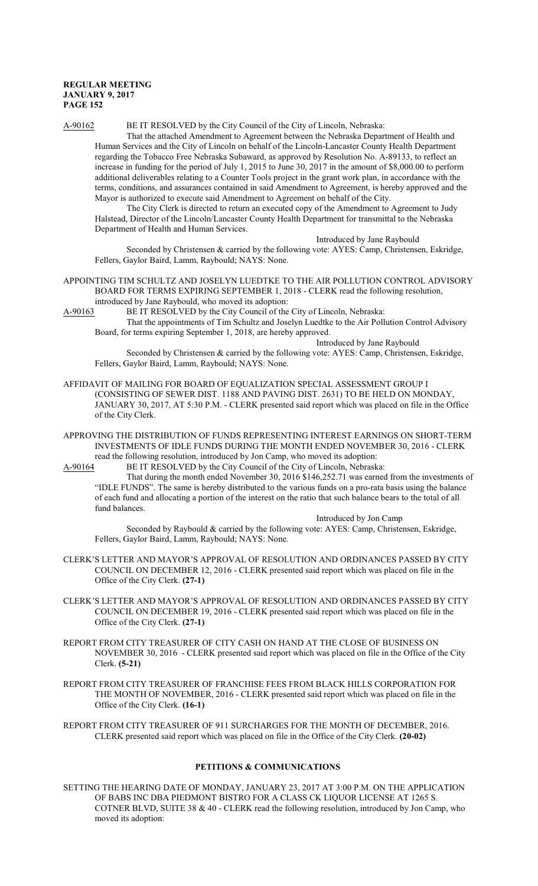A-90162 BE IT RESOLVED by the City Council of the City of Lincoln, Nebraska:

That the attached Amendment to Agreement between the Nebraska Department of Health and Human Services and the City of Lincoln on behalf of the Lincoln-Lancaster County Health Department regarding the Tobacco Free Nebraska Subaward, as approved by Resolution No. A-89133, to reflect an increase in funding for the period of July 1, 2015 to June 30, 2017 in the amount of \$8,000.00 to perform additional deliverables relating to a Counter Tools project in the grant work plan, in accordance with the terms, conditions, and assurances contained in said Amendment to Agreement, is hereby approved and the Mayor is authorized to execute said Amendment to Agreement on behalf of the City.

The City Clerk is directed to return an executed copy of the Amendment to Agreement to Judy Halstead, Director of the Lincoln/Lancaster County Health Department for transmittal to the Nebraska Department of Health and Human Services.

Introduced by Jane Raybould

Seconded by Christensen & carried by the following vote: AYES: Camp, Christensen, Eskridge, Fellers, Gaylor Baird, Lamm, Raybould; NAYS: None.

APPOINTING TIM SCHULTZ AND JOSELYN LUEDTKE TO THE AIR POLLUTION CONTROL ADVISORY BOARD FOR TERMS EXPIRING SEPTEMBER 1, 2018 - CLERK read the following resolution, introduced by Jane Raybould, who moved its adoption:

A-90163 BE IT RESOLVED by the City Council of the City of Lincoln, Nebraska:

That the appointments of Tim Schultz and Joselyn Luedtke to the Air Pollution Control Advisory Board, for terms expiring September 1, 2018, are hereby approved.

Introduced by Jane Raybould

Seconded by Christensen & carried by the following vote: AYES: Camp, Christensen, Eskridge, Fellers, Gaylor Baird, Lamm, Raybould; NAYS: None.

- AFFIDAVIT OF MAILING FOR BOARD OF EQUALIZATION SPECIAL ASSESSMENT GROUP I (CONSISTING OF SEWER DIST. 1188 AND PAVING DIST. 2631) TO BE HELD ON MONDAY, JANUARY 30, 2017, AT 5:30 P.M. - CLERK presented said report which was placed on file in the Office of the City Clerk.
- APPROVING THE DISTRIBUTION OF FUNDS REPRESENTING INTEREST EARNINGS ON SHORT-TERM INVESTMENTS OF IDLE FUNDS DURING THE MONTH ENDED NOVEMBER 30, 2016 - CLERK read the following resolution, introduced by Jon Camp, who moved its adoption:

A-90164 BE IT RESOLVED by the City Council of the City of Lincoln, Nebraska:

That during the month ended November 30, 2016 \$146,252.71 was earned from the investments of "IDLE FUNDS". The same is hereby distributed to the various funds on a pro-rata basis using the balance of each fund and allocating a portion of the interest on the ratio that such balance bears to the total of all fund balances.

Introduced by Jon Camp

Seconded by Raybould & carried by the following vote: AYES: Camp, Christensen, Eskridge, Fellers, Gaylor Baird, Lamm, Raybould; NAYS: None.

- CLERK'S LETTER AND MAYOR'S APPROVAL OF RESOLUTION AND ORDINANCES PASSED BY CITY COUNCIL ON DECEMBER 12, 2016 - CLERK presented said report which was placed on file in the Office of the City Clerk. **(27-1)**
- CLERK'S LETTER AND MAYOR'S APPROVAL OF RESOLUTION AND ORDINANCES PASSED BY CITY COUNCIL ON DECEMBER 19, 2016 - CLERK presented said report which was placed on file in the Office of the City Clerk. **(27-1)**
- REPORT FROM CITY TREASURER OF CITY CASH ON HAND AT THE CLOSE OF BUSINESS ON NOVEMBER 30, 2016 - CLERK presented said report which was placed on file in the Office of the City Clerk. **(5-21)**

REPORT FROM CITY TREASURER OF FRANCHISE FEES FROM BLACK HILLS CORPORATION FOR THE MONTH OF NOVEMBER, 2016 - CLERK presented said report which was placed on file in the Office of the City Clerk. **(16-1)**

REPORT FROM CITY TREASURER OF 911 SURCHARGES FOR THE MONTH OF DECEMBER, 2016. CLERK presented said report which was placed on file in the Office of the City Clerk. **(20-02)**

# **PETITIONS & COMMUNICATIONS**

SETTING THE HEARING DATE OF MONDAY, JANUARY 23, 2017 AT 3:00 P.M. ON THE APPLICATION OF BABS INC DBA PIEDMONT BISTRO FOR A CLASS CK LIQUOR LICENSE AT 1265 S. COTNER BLVD, SUITE 38 & 40 - CLERK read the following resolution, introduced by Jon Camp, who moved its adoption: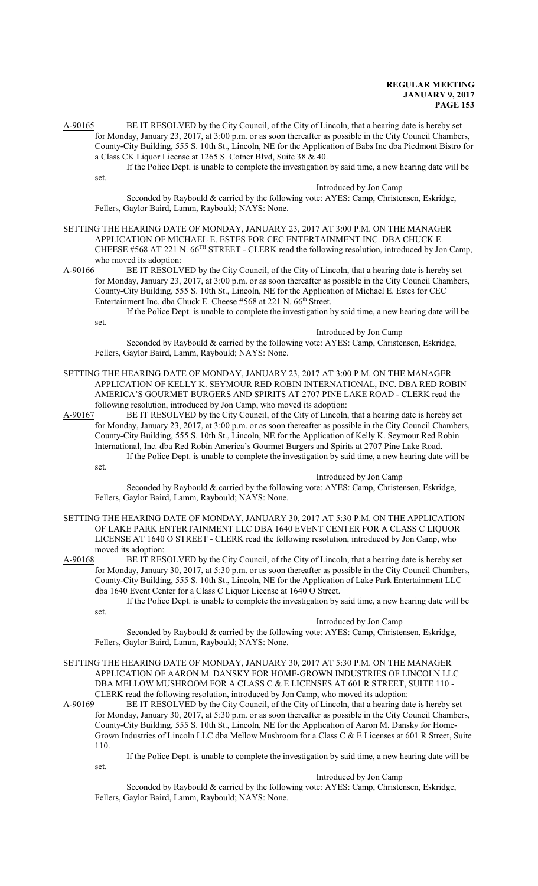A-90165 BE IT RESOLVED by the City Council, of the City of Lincoln, that a hearing date is hereby set for Monday, January 23, 2017, at 3:00 p.m. or as soon thereafter as possible in the City Council Chambers, County-City Building, 555 S. 10th St., Lincoln, NE for the Application of Babs Inc dba Piedmont Bistro for a Class CK Liquor License at 1265 S. Cotner Blvd, Suite 38 & 40.

If the Police Dept. is unable to complete the investigation by said time, a new hearing date will be set.

## Introduced by Jon Camp

Seconded by Raybould & carried by the following vote: AYES: Camp, Christensen, Eskridge, Fellers, Gaylor Baird, Lamm, Raybould; NAYS: None.

- SETTING THE HEARING DATE OF MONDAY, JANUARY 23, 2017 AT 3:00 P.M. ON THE MANAGER APPLICATION OF MICHAEL E. ESTES FOR CEC ENTERTAINMENT INC. DBA CHUCK E. CHEESE #568 AT 221 N. 66<sup>TH</sup> STREET - CLERK read the following resolution, introduced by Jon Camp, who moved its adoption:
- A-90166 BE IT RESOLVED by the City Council, of the City of Lincoln, that a hearing date is hereby set for Monday, January 23, 2017, at 3:00 p.m. or as soon thereafter as possible in the City Council Chambers, County-City Building, 555 S. 10th St., Lincoln, NE for the Application of Michael E. Estes for CEC Entertainment Inc. dba Chuck E. Cheese #568 at 221 N. 66<sup>th</sup> Street.
	- If the Police Dept. is unable to complete the investigation by said time, a new hearing date will be set.

Introduced by Jon Camp

Seconded by Raybould & carried by the following vote: AYES: Camp, Christensen, Eskridge, Fellers, Gaylor Baird, Lamm, Raybould; NAYS: None.

SETTING THE HEARING DATE OF MONDAY, JANUARY 23, 2017 AT 3:00 P.M. ON THE MANAGER APPLICATION OF KELLY K. SEYMOUR RED ROBIN INTERNATIONAL, INC. DBA RED ROBIN AMERICA'S GOURMET BURGERS AND SPIRITS AT 2707 PINE LAKE ROAD - CLERK read the following resolution, introduced by Jon Camp, who moved its adoption:

A-90167 BE IT RESOLVED by the City Council, of the City of Lincoln, that a hearing date is hereby set for Monday, January 23, 2017, at 3:00 p.m. or as soon thereafter as possible in the City Council Chambers, County-City Building, 555 S. 10th St., Lincoln, NE for the Application of Kelly K. Seymour Red Robin International, Inc. dba Red Robin America's Gourmet Burgers and Spirits at 2707 Pine Lake Road. If the Police Dept. is unable to complete the investigation by said time, a new hearing date will be set.

## Introduced by Jon Camp

Seconded by Raybould & carried by the following vote: AYES: Camp, Christensen, Eskridge, Fellers, Gaylor Baird, Lamm, Raybould; NAYS: None.

SETTING THE HEARING DATE OF MONDAY, JANUARY 30, 2017 AT 5:30 P.M. ON THE APPLICATION OF LAKE PARK ENTERTAINMENT LLC DBA 1640 EVENT CENTER FOR A CLASS C LIQUOR LICENSE AT 1640 O STREET - CLERK read the following resolution, introduced by Jon Camp, who moved its adoption:

A-90168 BE IT RESOLVED by the City Council, of the City of Lincoln, that a hearing date is hereby set for Monday, January 30, 2017, at 5:30 p.m. or as soon thereafter as possible in the City Council Chambers, County-City Building, 555 S. 10th St., Lincoln, NE for the Application of Lake Park Entertainment LLC dba 1640 Event Center for a Class C Liquor License at 1640 O Street.

If the Police Dept. is unable to complete the investigation by said time, a new hearing date will be set.

#### Introduced by Jon Camp

Seconded by Raybould & carried by the following vote: AYES: Camp, Christensen, Eskridge, Fellers, Gaylor Baird, Lamm, Raybould; NAYS: None.

SETTING THE HEARING DATE OF MONDAY, JANUARY 30, 2017 AT 5:30 P.M. ON THE MANAGER APPLICATION OF AARON M. DANSKY FOR HOME-GROWN INDUSTRIES OF LINCOLN LLC DBA MELLOW MUSHROOM FOR A CLASS C & E LICENSES AT 601 R STREET, SUITE 110 - CLERK read the following resolution, introduced by Jon Camp, who moved its adoption:

A-90169 BE IT RESOLVED by the City Council, of the City of Lincoln, that a hearing date is hereby set for Monday, January 30, 2017, at 5:30 p.m. or as soon thereafter as possible in the City Council Chambers, County-City Building, 555 S. 10th St., Lincoln, NE for the Application of Aaron M. Dansky for Home-Grown Industries of Lincoln LLC dba Mellow Mushroom for a Class C & E Licenses at 601 R Street, Suite 110.

If the Police Dept. is unable to complete the investigation by said time, a new hearing date will be set.

### Introduced by Jon Camp

Seconded by Raybould & carried by the following vote: AYES: Camp, Christensen, Eskridge, Fellers, Gaylor Baird, Lamm, Raybould; NAYS: None.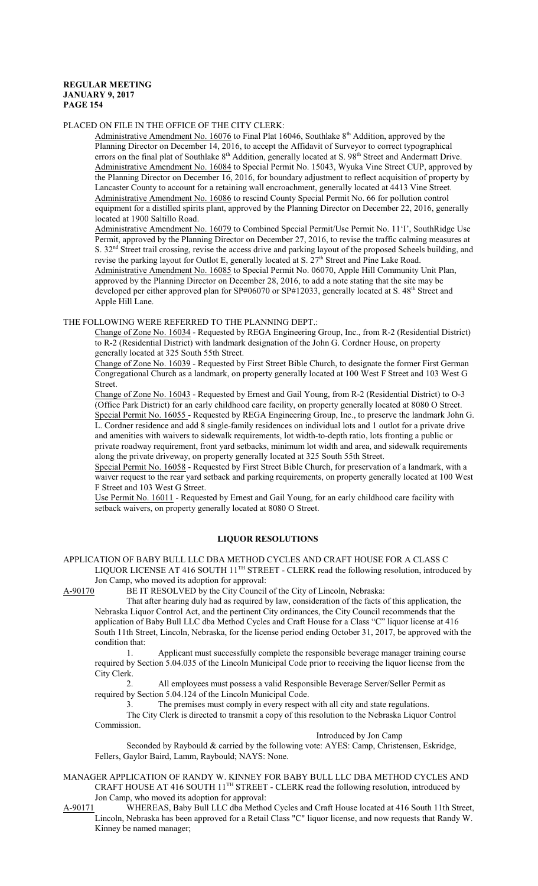# PLACED ON FILE IN THE OFFICE OF THE CITY CLERK:

Administrative Amendment No. 16076 to Final Plat 16046, Southlake 8<sup>th</sup> Addition, approved by the Planning Director on December 14, 2016, to accept the Affidavit of Surveyor to correct typographical errors on the final plat of Southlake 8<sup>th</sup> Addition, generally located at S. 98<sup>th</sup> Street and Andermatt Drive. Administrative Amendment No. 16084 to Special Permit No. 15043, Wyuka Vine Street CUP, approved by the Planning Director on December 16, 2016, for boundary adjustment to reflect acquisition of property by Lancaster County to account for a retaining wall encroachment, generally located at 4413 Vine Street. Administrative Amendment No. 16086 to rescind County Special Permit No. 66 for pollution control equipment for a distilled spirits plant, approved by the Planning Director on December 22, 2016, generally located at 1900 Saltillo Road.

Administrative Amendment No. 16079 to Combined Special Permit/Use Permit No. 11'I', SouthRidge Use Permit, approved by the Planning Director on December 27, 2016, to revise the traffic calming measures at S. 32<sup>nd</sup> Street trail crossing, revise the access drive and parking layout of the proposed Scheels building, and revise the parking layout for Outlot E, generally located at S. 27<sup>th</sup> Street and Pine Lake Road. Administrative Amendment No. 16085 to Special Permit No. 06070, Apple Hill Community Unit Plan, approved by the Planning Director on December 28, 2016, to add a note stating that the site may be developed per either approved plan for SP#06070 or SP#12033, generally located at S. 48<sup>th</sup> Street and Apple Hill Lane.

### THE FOLLOWING WERE REFERRED TO THE PLANNING DEPT.:

Change of Zone No. 16034 - Requested by REGA Engineering Group, Inc., from R-2 (Residential District) to R-2 (Residential District) with landmark designation of the John G. Cordner House, on property generally located at 325 South 55th Street.

Change of Zone No. 16039 - Requested by First Street Bible Church, to designate the former First German Congregational Church as a landmark, on property generally located at 100 West F Street and 103 West G Street.

Change of Zone No. 16043 - Requested by Ernest and Gail Young, from R-2 (Residential District) to O-3 (Office Park District) for an early childhood care facility, on property generally located at 8080 O Street. Special Permit No. 16055 - Requested by REGA Engineering Group, Inc., to preserve the landmark John G. L. Cordner residence and add 8 single-family residences on individual lots and 1 outlot for a private drive and amenities with waivers to sidewalk requirements, lot width-to-depth ratio, lots fronting a public or private roadway requirement, front yard setbacks, minimum lot width and area, and sidewalk requirements along the private driveway, on property generally located at 325 South 55th Street.

Special Permit No. 16058 - Requested by First Street Bible Church, for preservation of a landmark, with a waiver request to the rear yard setback and parking requirements, on property generally located at 100 West F Street and 103 West G Street.

Use Permit No. 16011 - Requested by Ernest and Gail Young, for an early childhood care facility with setback waivers, on property generally located at 8080 O Street.

# **LIQUOR RESOLUTIONS**

### APPLICATION OF BABY BULL LLC DBA METHOD CYCLES AND CRAFT HOUSE FOR A CLASS C LIQUOR LICENSE AT 416 SOUTH 11<sup>TH</sup> STREET - CLERK read the following resolution, introduced by Jon Camp, who moved its adoption for approval:

A-90170 BE IT RESOLVED by the City Council of the City of Lincoln, Nebraska:

That after hearing duly had as required by law, consideration of the facts of this application, the Nebraska Liquor Control Act, and the pertinent City ordinances, the City Council recommends that the application of Baby Bull LLC dba Method Cycles and Craft House for a Class "C" liquor license at 416 South 11th Street, Lincoln, Nebraska, for the license period ending October 31, 2017, be approved with the condition that:

1. Applicant must successfully complete the responsible beverage manager training course required by Section 5.04.035 of the Lincoln Municipal Code prior to receiving the liquor license from the City Clerk.

2. All employees must possess a valid Responsible Beverage Server/Seller Permit as required by Section 5.04.124 of the Lincoln Municipal Code.

3. The premises must comply in every respect with all city and state regulations.

The City Clerk is directed to transmit a copy of this resolution to the Nebraska Liquor Control Commission.

Introduced by Jon Camp

Seconded by Raybould & carried by the following vote: AYES: Camp, Christensen, Eskridge, Fellers, Gaylor Baird, Lamm, Raybould; NAYS: None.

MANAGER APPLICATION OF RANDY W. KINNEY FOR BABY BULL LLC DBA METHOD CYCLES AND CRAFT HOUSE AT 416 SOUTH 11<sup>TH</sup> STREET - CLERK read the following resolution, introduced by Jon Camp, who moved its adoption for approval:

A-90171 WHEREAS, Baby Bull LLC dba Method Cycles and Craft House located at 416 South 11th Street, Lincoln, Nebraska has been approved for a Retail Class "C" liquor license, and now requests that Randy W. Kinney be named manager;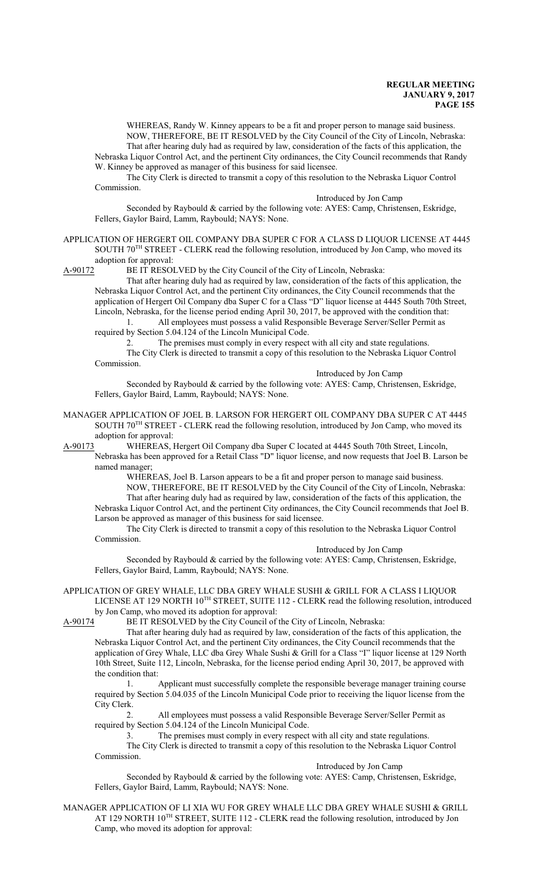WHEREAS, Randy W. Kinney appears to be a fit and proper person to manage said business. NOW, THEREFORE, BE IT RESOLVED by the City Council of the City of Lincoln, Nebraska: That after hearing duly had as required by law, consideration of the facts of this application, the Nebraska Liquor Control Act, and the pertinent City ordinances, the City Council recommends that Randy

W. Kinney be approved as manager of this business for said licensee.

The City Clerk is directed to transmit a copy of this resolution to the Nebraska Liquor Control Commission.

Introduced by Jon Camp

Seconded by Raybould & carried by the following vote: AYES: Camp, Christensen, Eskridge, Fellers, Gaylor Baird, Lamm, Raybould; NAYS: None.

APPLICATION OF HERGERT OIL COMPANY DBA SUPER C FOR A CLASS D LIQUOR LICENSE AT 4445 SOUTH 70<sup>TH</sup> STREET - CLERK read the following resolution, introduced by Jon Camp, who moved its adoption for approval:

A-90172 BE IT RESOLVED by the City Council of the City of Lincoln, Nebraska:

That after hearing duly had as required by law, consideration of the facts of this application, the Nebraska Liquor Control Act, and the pertinent City ordinances, the City Council recommends that the application of Hergert Oil Company dba Super C for a Class "D" liquor license at 4445 South 70th Street, Lincoln, Nebraska, for the license period ending April 30, 2017, be approved with the condition that: 1. All employees must possess a valid Responsible Beverage Server/Seller Permit as

required by Section 5.04.124 of the Lincoln Municipal Code.

2. The premises must comply in every respect with all city and state regulations. The City Clerk is directed to transmit a copy of this resolution to the Nebraska Liquor Control

Commission.

Introduced by Jon Camp

Seconded by Raybould & carried by the following vote: AYES: Camp, Christensen, Eskridge, Fellers, Gaylor Baird, Lamm, Raybould; NAYS: None.

MANAGER APPLICATION OF JOEL B. LARSON FOR HERGERT OIL COMPANY DBA SUPER C AT 4445 SOUTH 70<sup>TH</sup> STREET - CLERK read the following resolution, introduced by Jon Camp, who moved its adoption for approval:

A-90173 WHEREAS, Hergert Oil Company dba Super C located at 4445 South 70th Street, Lincoln, Nebraska has been approved for a Retail Class "D" liquor license, and now requests that Joel B. Larson be

named manager;

WHEREAS, Joel B. Larson appears to be a fit and proper person to manage said business. NOW, THEREFORE, BE IT RESOLVED by the City Council of the City of Lincoln, Nebraska: That after hearing duly had as required by law, consideration of the facts of this application, the Nebraska Liquor Control Act, and the pertinent City ordinances, the City Council recommends that Joel B.

Larson be approved as manager of this business for said licensee. The City Clerk is directed to transmit a copy of this resolution to the Nebraska Liquor Control Commission.

Introduced by Jon Camp

Seconded by Raybould & carried by the following vote: AYES: Camp, Christensen, Eskridge, Fellers, Gaylor Baird, Lamm, Raybould; NAYS: None.

APPLICATION OF GREY WHALE, LLC DBA GREY WHALE SUSHI & GRILL FOR A CLASS I LIQUOR LICENSE AT 129 NORTH 10<sup>TH</sup> STREET, SUITE 112 - CLERK read the following resolution, introduced by Jon Camp, who moved its adoption for approval:

A-90174 BE IT RESOLVED by the City Council of the City of Lincoln, Nebraska:

That after hearing duly had as required by law, consideration of the facts of this application, the Nebraska Liquor Control Act, and the pertinent City ordinances, the City Council recommends that the application of Grey Whale, LLC dba Grey Whale Sushi & Grill for a Class "I" liquor license at 129 North 10th Street, Suite 112, Lincoln, Nebraska, for the license period ending April 30, 2017, be approved with the condition that:

1. Applicant must successfully complete the responsible beverage manager training course required by Section 5.04.035 of the Lincoln Municipal Code prior to receiving the liquor license from the City Clerk.

2. All employees must possess a valid Responsible Beverage Server/Seller Permit as required by Section 5.04.124 of the Lincoln Municipal Code.

3. The premises must comply in every respect with all city and state regulations.

The City Clerk is directed to transmit a copy of this resolution to the Nebraska Liquor Control Commission.

Introduced by Jon Camp

Seconded by Raybould & carried by the following vote: AYES: Camp, Christensen, Eskridge, Fellers, Gaylor Baird, Lamm, Raybould; NAYS: None.

MANAGER APPLICATION OF LI XIA WU FOR GREY WHALE LLC DBA GREY WHALE SUSHI & GRILL AT 129 NORTH 10<sup>TH</sup> STREET, SUITE 112 - CLERK read the following resolution, introduced by Jon Camp, who moved its adoption for approval: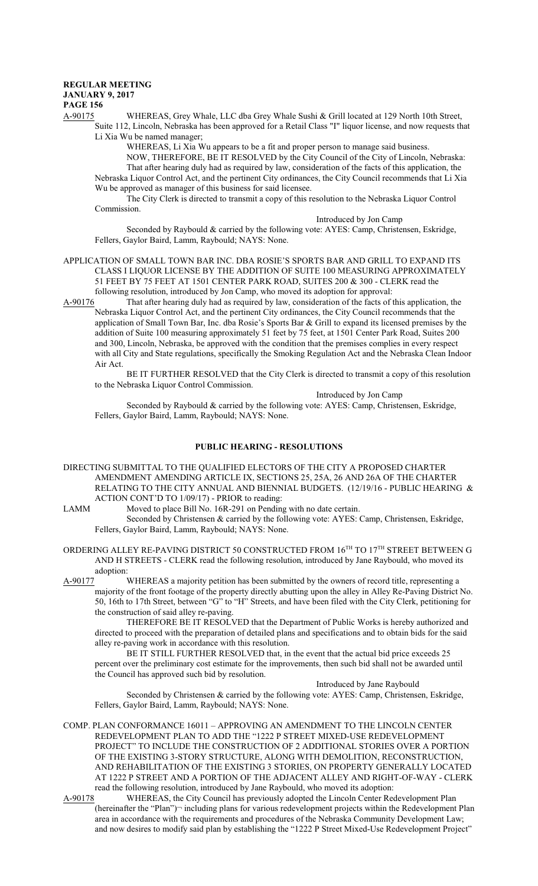A-90175 WHEREAS, Grey Whale, LLC dba Grey Whale Sushi & Grill located at 129 North 10th Street, Suite 112, Lincoln, Nebraska has been approved for a Retail Class "I" liquor license, and now requests that Li Xia Wu be named manager;

> WHEREAS, Li Xia Wu appears to be a fit and proper person to manage said business. NOW, THEREFORE, BE IT RESOLVED by the City Council of the City of Lincoln, Nebraska: That after hearing duly had as required by law, consideration of the facts of this application, the

Nebraska Liquor Control Act, and the pertinent City ordinances, the City Council recommends that Li Xia Wu be approved as manager of this business for said licensee.

The City Clerk is directed to transmit a copy of this resolution to the Nebraska Liquor Control Commission.

Introduced by Jon Camp

Seconded by Raybould & carried by the following vote: AYES: Camp, Christensen, Eskridge, Fellers, Gaylor Baird, Lamm, Raybould; NAYS: None.

APPLICATION OF SMALL TOWN BAR INC. DBA ROSIE'S SPORTS BAR AND GRILL TO EXPAND ITS CLASS I LIQUOR LICENSE BY THE ADDITION OF SUITE 100 MEASURING APPROXIMATELY 51 FEET BY 75 FEET AT 1501 CENTER PARK ROAD, SUITES 200 & 300 - CLERK read the following resolution, introduced by Jon Camp, who moved its adoption for approval:<br>A-90176 That after hearing duly had as required by law, consideration of the facts of t

That after hearing duly had as required by law, consideration of the facts of this application, the Nebraska Liquor Control Act, and the pertinent City ordinances, the City Council recommends that the application of Small Town Bar, Inc. dba Rosie's Sports Bar & Grill to expand its licensed premises by the addition of Suite 100 measuring approximately 51 feet by 75 feet, at 1501 Center Park Road, Suites 200 and 300, Lincoln, Nebraska, be approved with the condition that the premises complies in every respect with all City and State regulations, specifically the Smoking Regulation Act and the Nebraska Clean Indoor Air Act.

BE IT FURTHER RESOLVED that the City Clerk is directed to transmit a copy of this resolution to the Nebraska Liquor Control Commission.

Introduced by Jon Camp

Seconded by Raybould & carried by the following vote: AYES: Camp, Christensen, Eskridge, Fellers, Gaylor Baird, Lamm, Raybould; NAYS: None.

## **PUBLIC HEARING - RESOLUTIONS**

- DIRECTING SUBMITTAL TO THE QUALIFIED ELECTORS OF THE CITY A PROPOSED CHARTER AMENDMENT AMENDING ARTICLE IX, SECTIONS 25, 25A, 26 AND 26A OF THE CHARTER RELATING TO THE CITY ANNUAL AND BIENNIAL BUDGETS. (12/19/16 - PUBLIC HEARING & ACTION CONT'D TO 1/09/17) - PRIOR to reading:
- LAMM Moved to place Bill No. 16R-291 on Pending with no date certain.
	- Seconded by Christensen & carried by the following vote: AYES: Camp, Christensen, Eskridge, Fellers, Gaylor Baird, Lamm, Raybould; NAYS: None.
- ORDERING ALLEY RE-PAVING DISTRICT 50 CONSTRUCTED FROM  $16^{\text{TH}}$  TO  $17^{\text{TH}}$  STREET BETWEEN G AND H STREETS - CLERK read the following resolution, introduced by Jane Raybould, who moved its adoption:

A-90177 WHEREAS a majority petition has been submitted by the owners of record title, representing a majority of the front footage of the property directly abutting upon the alley in Alley Re-Paving District No. 50, 16th to 17th Street, between "G" to "H" Streets, and have been filed with the City Clerk, petitioning for the construction of said alley re-paving.

THEREFORE BE IT RESOLVED that the Department of Public Works is hereby authorized and directed to proceed with the preparation of detailed plans and specifications and to obtain bids for the said alley re-paving work in accordance with this resolution.

BE IT STILL FURTHER RESOLVED that, in the event that the actual bid price exceeds 25 percent over the preliminary cost estimate for the improvements, then such bid shall not be awarded until the Council has approved such bid by resolution.

Introduced by Jane Raybould Seconded by Christensen & carried by the following vote: AYES: Camp, Christensen, Eskridge, Fellers, Gaylor Baird, Lamm, Raybould; NAYS: None.

COMP. PLAN CONFORMANCE 16011 – APPROVING AN AMENDMENT TO THE LINCOLN CENTER REDEVELOPMENT PLAN TO ADD THE "1222 P STREET MIXED-USE REDEVELOPMENT PROJECT" TO INCLUDE THE CONSTRUCTION OF 2 ADDITIONAL STORIES OVER A PORTION OF THE EXISTING 3-STORY STRUCTURE, ALONG WITH DEMOLITION, RECONSTRUCTION, AND REHABILITATION OF THE EXISTING 3 STORIES, ON PROPERTY GENERALLY LOCATED AT 1222 P STREET AND A PORTION OF THE ADJACENT ALLEY AND RIGHT-OF-WAY - CLERK read the following resolution, introduced by Jane Raybould, who moved its adoption:

A-90178 WHEREAS, the City Council has previously adopted the Lincoln Center Redevelopment Plan (hereinafter the "Plan")¬ including plans for various redevelopment projects within the Redevelopment Plan area in accordance with the requirements and procedures of the Nebraska Community Development Law; and now desires to modify said plan by establishing the "1222 P Street Mixed-Use Redevelopment Project"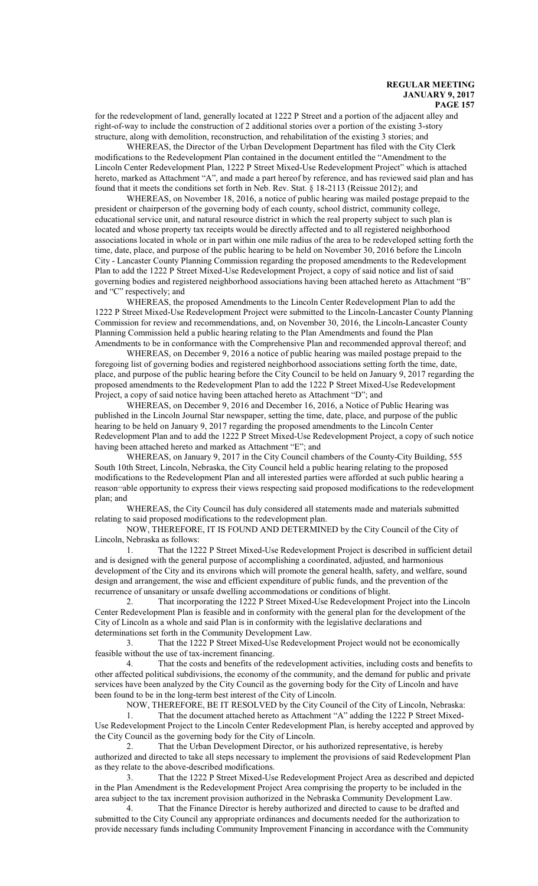for the redevelopment of land, generally located at 1222 P Street and a portion of the adjacent alley and right-of-way to include the construction of 2 additional stories over a portion of the existing 3-story structure, along with demolition, reconstruction, and rehabilitation of the existing 3 stories; and

WHEREAS, the Director of the Urban Development Department has filed with the City Clerk modifications to the Redevelopment Plan contained in the document entitled the "Amendment to the Lincoln Center Redevelopment Plan, 1222 P Street Mixed-Use Redevelopment Project" which is attached hereto, marked as Attachment "A", and made a part hereof by reference, and has reviewed said plan and has found that it meets the conditions set forth in Neb. Rev. Stat. § 18-2113 (Reissue 2012); and

WHEREAS, on November 18, 2016, a notice of public hearing was mailed postage prepaid to the president or chairperson of the governing body of each county, school district, community college, educational service unit, and natural resource district in which the real property subject to such plan is located and whose property tax receipts would be directly affected and to all registered neighborhood associations located in whole or in part within one mile radius of the area to be redeveloped setting forth the time, date, place, and purpose of the public hearing to be held on November 30, 2016 before the Lincoln City - Lancaster County Planning Commission regarding the proposed amendments to the Redevelopment Plan to add the 1222 P Street Mixed-Use Redevelopment Project, a copy of said notice and list of said governing bodies and registered neighborhood associations having been attached hereto as Attachment "B" and "C" respectively; and

WHEREAS, the proposed Amendments to the Lincoln Center Redevelopment Plan to add the 1222 P Street Mixed-Use Redevelopment Project were submitted to the Lincoln-Lancaster County Planning Commission for review and recommendations, and, on November 30, 2016, the Lincoln-Lancaster County Planning Commission held a public hearing relating to the Plan Amendments and found the Plan Amendments to be in conformance with the Comprehensive Plan and recommended approval thereof; and

WHEREAS, on December 9, 2016 a notice of public hearing was mailed postage prepaid to the foregoing list of governing bodies and registered neighborhood associations setting forth the time, date, place, and purpose of the public hearing before the City Council to be held on January 9, 2017 regarding the proposed amendments to the Redevelopment Plan to add the 1222 P Street Mixed-Use Redevelopment Project, a copy of said notice having been attached hereto as Attachment "D"; and

WHEREAS, on December 9, 2016 and December 16, 2016, a Notice of Public Hearing was published in the Lincoln Journal Star newspaper, setting the time, date, place, and purpose of the public hearing to be held on January 9, 2017 regarding the proposed amendments to the Lincoln Center Redevelopment Plan and to add the 1222 P Street Mixed-Use Redevelopment Project, a copy of such notice having been attached hereto and marked as Attachment "E"; and

WHEREAS, on January 9, 2017 in the City Council chambers of the County-City Building, 555 South 10th Street, Lincoln, Nebraska, the City Council held a public hearing relating to the proposed modifications to the Redevelopment Plan and all interested parties were afforded at such public hearing a reason¬able opportunity to express their views respecting said proposed modifications to the redevelopment plan; and

WHEREAS, the City Council has duly considered all statements made and materials submitted relating to said proposed modifications to the redevelopment plan.

NOW, THEREFORE, IT IS FOUND AND DETERMINED by the City Council of the City of Lincoln, Nebraska as follows:

1. That the 1222 P Street Mixed-Use Redevelopment Project is described in sufficient detail and is designed with the general purpose of accomplishing a coordinated, adjusted, and harmonious development of the City and its environs which will promote the general health, safety, and welfare, sound design and arrangement, the wise and efficient expenditure of public funds, and the prevention of the recurrence of unsanitary or unsafe dwelling accommodations or conditions of blight.

2. That incorporating the 1222 P Street Mixed-Use Redevelopment Project into the Lincoln Center Redevelopment Plan is feasible and in conformity with the general plan for the development of the City of Lincoln as a whole and said Plan is in conformity with the legislative declarations and determinations set forth in the Community Development Law.

3. That the 1222 P Street Mixed-Use Redevelopment Project would not be economically feasible without the use of tax-increment financing.

4. That the costs and benefits of the redevelopment activities, including costs and benefits to other affected political subdivisions, the economy of the community, and the demand for public and private services have been analyzed by the City Council as the governing body for the City of Lincoln and have been found to be in the long-term best interest of the City of Lincoln.

NOW, THEREFORE, BE IT RESOLVED by the City Council of the City of Lincoln, Nebraska:

1. That the document attached hereto as Attachment "A" adding the 1222 P Street Mixed-Use Redevelopment Project to the Lincoln Center Redevelopment Plan, is hereby accepted and approved by the City Council as the governing body for the City of Lincoln.

2. That the Urban Development Director, or his authorized representative, is hereby authorized and directed to take all steps necessary to implement the provisions of said Redevelopment Plan as they relate to the above-described modifications.

3. That the 1222 P Street Mixed-Use Redevelopment Project Area as described and depicted in the Plan Amendment is the Redevelopment Project Area comprising the property to be included in the area subject to the tax increment provision authorized in the Nebraska Community Development Law.

4. That the Finance Director is hereby authorized and directed to cause to be drafted and submitted to the City Council any appropriate ordinances and documents needed for the authorization to provide necessary funds including Community Improvement Financing in accordance with the Community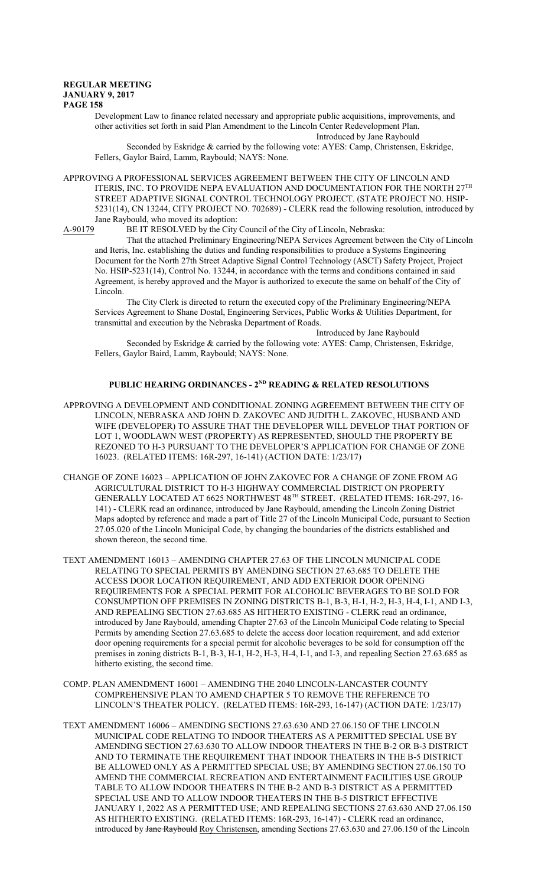Development Law to finance related necessary and appropriate public acquisitions, improvements, and other activities set forth in said Plan Amendment to the Lincoln Center Redevelopment Plan. Introduced by Jane Raybould

Seconded by Eskridge & carried by the following vote: AYES: Camp, Christensen, Eskridge, Fellers, Gaylor Baird, Lamm, Raybould; NAYS: None.

APPROVING A PROFESSIONAL SERVICES AGREEMENT BETWEEN THE CITY OF LINCOLN AND ITERIS, INC. TO PROVIDE NEPA EVALUATION AND DOCUMENTATION FOR THE NORTH  $27^{\rm TH}$ STREET ADAPTIVE SIGNAL CONTROL TECHNOLOGY PROJECT. (STATE PROJECT NO. HSIP-5231(14), CN 13244, CITY PROJECT NO. 702689) - CLERK read the following resolution, introduced by

Jane Raybould, who moved its adoption:

A-90179 BE IT RESOLVED by the City Council of the City of Lincoln, Nebraska:

That the attached Preliminary Engineering/NEPA Services Agreement between the City of Lincoln and Iteris, Inc. establishing the duties and funding responsibilities to produce a Systems Engineering Document for the North 27th Street Adaptive Signal Control Technology (ASCT) Safety Project, Project No. HSIP-5231(14), Control No. 13244, in accordance with the terms and conditions contained in said Agreement, is hereby approved and the Mayor is authorized to execute the same on behalf of the City of Lincoln.

The City Clerk is directed to return the executed copy of the Preliminary Engineering/NEPA Services Agreement to Shane Dostal, Engineering Services, Public Works & Utilities Department, for transmittal and execution by the Nebraska Department of Roads.

Introduced by Jane Raybould Seconded by Eskridge & carried by the following vote: AYES: Camp, Christensen, Eskridge, Fellers, Gaylor Baird, Lamm, Raybould; NAYS: None.

## **PUBLIC HEARING ORDINANCES - 2ND READING & RELATED RESOLUTIONS**

- APPROVING A DEVELOPMENT AND CONDITIONAL ZONING AGREEMENT BETWEEN THE CITY OF LINCOLN, NEBRASKA AND JOHN D. ZAKOVEC AND JUDITH L. ZAKOVEC, HUSBAND AND WIFE (DEVELOPER) TO ASSURE THAT THE DEVELOPER WILL DEVELOP THAT PORTION OF LOT 1, WOODLAWN WEST (PROPERTY) AS REPRESENTED, SHOULD THE PROPERTY BE REZONED TO H-3 PURSUANT TO THE DEVELOPER'S APPLICATION FOR CHANGE OF ZONE 16023. (RELATED ITEMS: 16R-297, 16-141) (ACTION DATE: 1/23/17)
- CHANGE OF ZONE 16023 APPLICATION OF JOHN ZAKOVEC FOR A CHANGE OF ZONE FROM AG AGRICULTURAL DISTRICT TO H-3 HIGHWAY COMMERCIAL DISTRICT ON PROPERTY GENERALLY LOCATED AT 6625 NORTHWEST 48 TH STREET. (RELATED ITEMS: 16R-297, 16- 141) - CLERK read an ordinance, introduced by Jane Raybould, amending the Lincoln Zoning District Maps adopted by reference and made a part of Title 27 of the Lincoln Municipal Code, pursuant to Section 27.05.020 of the Lincoln Municipal Code, by changing the boundaries of the districts established and shown thereon, the second time.
- TEXT AMENDMENT 16013 AMENDING CHAPTER 27.63 OF THE LINCOLN MUNICIPAL CODE RELATING TO SPECIAL PERMITS BY AMENDING SECTION 27.63.685 TO DELETE THE ACCESS DOOR LOCATION REQUIREMENT, AND ADD EXTERIOR DOOR OPENING REQUIREMENTS FOR A SPECIAL PERMIT FOR ALCOHOLIC BEVERAGES TO BE SOLD FOR CONSUMPTION OFF PREMISES IN ZONING DISTRICTS B-1, B-3, H-1, H-2, H-3, H-4, I-1, AND I-3, AND REPEALING SECTION 27.63.685 AS HITHERTO EXISTING - CLERK read an ordinance, introduced by Jane Raybould, amending Chapter 27.63 of the Lincoln Municipal Code relating to Special Permits by amending Section 27.63.685 to delete the access door location requirement, and add exterior door opening requirements for a special permit for alcoholic beverages to be sold for consumption off the premises in zoning districts B-1, B-3, H-1, H-2, H-3, H-4, I-1, and I-3, and repealing Section 27.63.685 as hitherto existing, the second time.
- COMP. PLAN AMENDMENT 16001 AMENDING THE 2040 LINCOLN-LANCASTER COUNTY COMPREHENSIVE PLAN TO AMEND CHAPTER 5 TO REMOVE THE REFERENCE TO LINCOLN'S THEATER POLICY. (RELATED ITEMS: 16R-293, 16-147) (ACTION DATE: 1/23/17)
- TEXT AMENDMENT 16006 AMENDING SECTIONS 27.63.630 AND 27.06.150 OF THE LINCOLN MUNICIPAL CODE RELATING TO INDOOR THEATERS AS A PERMITTED SPECIAL USE BY AMENDING SECTION 27.63.630 TO ALLOW INDOOR THEATERS IN THE B-2 OR B-3 DISTRICT AND TO TERMINATE THE REQUIREMENT THAT INDOOR THEATERS IN THE B-5 DISTRICT BE ALLOWED ONLY AS A PERMITTED SPECIAL USE; BY AMENDING SECTION 27.06.150 TO AMEND THE COMMERCIAL RECREATION AND ENTERTAINMENT FACILITIES USE GROUP TABLE TO ALLOW INDOOR THEATERS IN THE B-2 AND B-3 DISTRICT AS A PERMITTED SPECIAL USE AND TO ALLOW INDOOR THEATERS IN THE B-5 DISTRICT EFFECTIVE JANUARY 1, 2022 AS A PERMITTED USE; AND REPEALING SECTIONS 27.63.630 AND 27.06.150 AS HITHERTO EXISTING. (RELATED ITEMS: 16R-293, 16-147) - CLERK read an ordinance, introduced by Jane Raybould Roy Christensen, amending Sections 27.63.630 and 27.06.150 of the Lincoln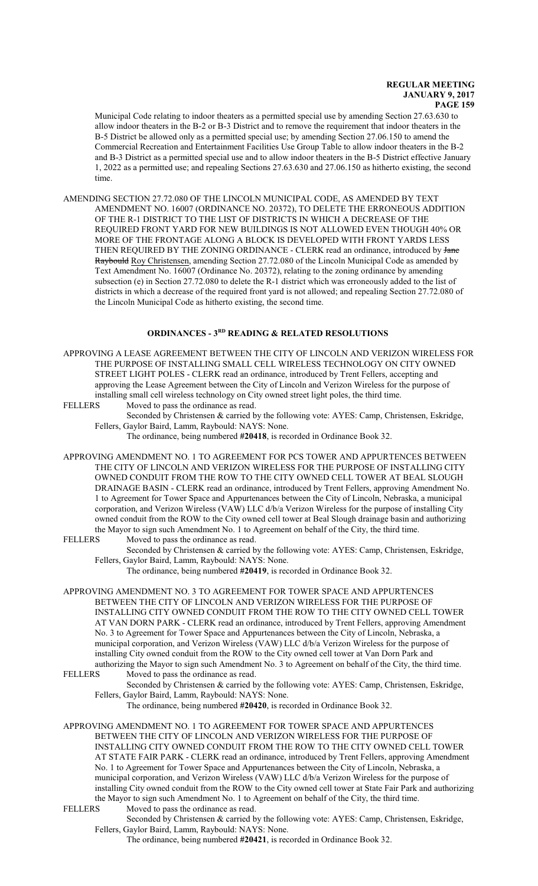Municipal Code relating to indoor theaters as a permitted special use by amending Section 27.63.630 to allow indoor theaters in the B-2 or B-3 District and to remove the requirement that indoor theaters in the B-5 District be allowed only as a permitted special use; by amending Section 27.06.150 to amend the Commercial Recreation and Entertainment Facilities Use Group Table to allow indoor theaters in the B-2 and B-3 District as a permitted special use and to allow indoor theaters in the B-5 District effective January 1, 2022 as a permitted use; and repealing Sections 27.63.630 and 27.06.150 as hitherto existing, the second time.

AMENDING SECTION 27.72.080 OF THE LINCOLN MUNICIPAL CODE, AS AMENDED BY TEXT AMENDMENT NO. 16007 (ORDINANCE NO. 20372), TO DELETE THE ERRONEOUS ADDITION OF THE R-1 DISTRICT TO THE LIST OF DISTRICTS IN WHICH A DECREASE OF THE REQUIRED FRONT YARD FOR NEW BUILDINGS IS NOT ALLOWED EVEN THOUGH 40% OR MORE OF THE FRONTAGE ALONG A BLOCK IS DEVELOPED WITH FRONT YARDS LESS THEN REQUIRED BY THE ZONING ORDINANCE - CLERK read an ordinance, introduced by **Jane** Raybould Roy Christensen, amending Section 27.72.080 of the Lincoln Municipal Code as amended by Text Amendment No. 16007 (Ordinance No. 20372), relating to the zoning ordinance by amending subsection (e) in Section 27.72.080 to delete the R-1 district which was erroneously added to the list of districts in which a decrease of the required front yard is not allowed; and repealing Section 27.72.080 of the Lincoln Municipal Code as hitherto existing, the second time.

### **ORDINANCES - 3RD READING & RELATED RESOLUTIONS**

APPROVING A LEASE AGREEMENT BETWEEN THE CITY OF LINCOLN AND VERIZON WIRELESS FOR THE PURPOSE OF INSTALLING SMALL CELL WIRELESS TECHNOLOGY ON CITY OWNED STREET LIGHT POLES - CLERK read an ordinance, introduced by Trent Fellers, accepting and approving the Lease Agreement between the City of Lincoln and Verizon Wireless for the purpose of installing small cell wireless technology on City owned street light poles, the third time.

FELLERS Moved to pass the ordinance as read.

Seconded by Christensen & carried by the following vote: AYES: Camp, Christensen, Eskridge, Fellers, Gaylor Baird, Lamm, Raybould: NAYS: None.

The ordinance, being numbered **#20418**, is recorded in Ordinance Book 32.

- APPROVING AMENDMENT NO. 1 TO AGREEMENT FOR PCS TOWER AND APPURTENCES BETWEEN THE CITY OF LINCOLN AND VERIZON WIRELESS FOR THE PURPOSE OF INSTALLING CITY OWNED CONDUIT FROM THE ROW TO THE CITY OWNED CELL TOWER AT BEAL SLOUGH DRAINAGE BASIN - CLERK read an ordinance, introduced by Trent Fellers, approving Amendment No. 1 to Agreement for Tower Space and Appurtenances between the City of Lincoln, Nebraska, a municipal corporation, and Verizon Wireless (VAW) LLC d/b/a Verizon Wireless for the purpose of installing City owned conduit from the ROW to the City owned cell tower at Beal Slough drainage basin and authorizing the Mayor to sign such Amendment No. 1 to Agreement on behalf of the City, the third time.
- FELLERS Moved to pass the ordinance as read.

Seconded by Christensen & carried by the following vote: AYES: Camp, Christensen, Eskridge, Fellers, Gaylor Baird, Lamm, Raybould: NAYS: None.

The ordinance, being numbered **#20419**, is recorded in Ordinance Book 32.

APPROVING AMENDMENT NO. 3 TO AGREEMENT FOR TOWER SPACE AND APPURTENCES BETWEEN THE CITY OF LINCOLN AND VERIZON WIRELESS FOR THE PURPOSE OF INSTALLING CITY OWNED CONDUIT FROM THE ROW TO THE CITY OWNED CELL TOWER AT VAN DORN PARK - CLERK read an ordinance, introduced by Trent Fellers, approving Amendment No. 3 to Agreement for Tower Space and Appurtenances between the City of Lincoln, Nebraska, a municipal corporation, and Verizon Wireless (VAW) LLC d/b/a Verizon Wireless for the purpose of installing City owned conduit from the ROW to the City owned cell tower at Van Dorn Park and authorizing the Mayor to sign such Amendment No. 3 to Agreement on behalf of the City, the third time.

Moved to pass the ordinance as read. Seconded by Christensen & carried by the following vote: AYES: Camp, Christensen, Eskridge, Fellers, Gaylor Baird, Lamm, Raybould: NAYS: None.

The ordinance, being numbered **#20420**, is recorded in Ordinance Book 32.

- APPROVING AMENDMENT NO. 1 TO AGREEMENT FOR TOWER SPACE AND APPURTENCES BETWEEN THE CITY OF LINCOLN AND VERIZON WIRELESS FOR THE PURPOSE OF INSTALLING CITY OWNED CONDUIT FROM THE ROW TO THE CITY OWNED CELL TOWER AT STATE FAIR PARK - CLERK read an ordinance, introduced by Trent Fellers, approving Amendment No. 1 to Agreement for Tower Space and Appurtenances between the City of Lincoln, Nebraska, a municipal corporation, and Verizon Wireless (VAW) LLC d/b/a Verizon Wireless for the purpose of installing City owned conduit from the ROW to the City owned cell tower at State Fair Park and authorizing the Mayor to sign such Amendment No. 1 to Agreement on behalf of the City, the third time.
- FELLERS Moved to pass the ordinance as read.

Seconded by Christensen & carried by the following vote: AYES: Camp, Christensen, Eskridge, Fellers, Gaylor Baird, Lamm, Raybould: NAYS: None.

The ordinance, being numbered **#20421**, is recorded in Ordinance Book 32.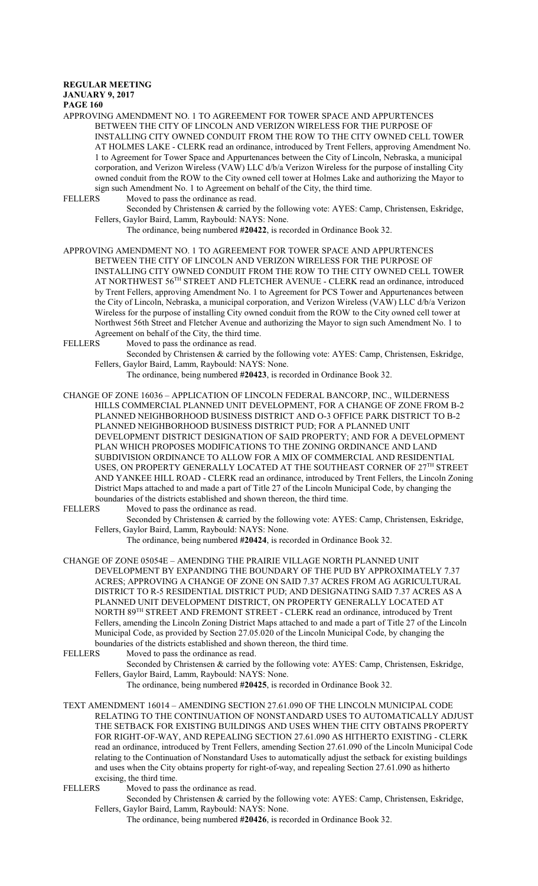# **REGULAR MEETING JANUARY 9, 2017**

**PAGE 160**

APPROVING AMENDMENT NO. 1 TO AGREEMENT FOR TOWER SPACE AND APPURTENCES BETWEEN THE CITY OF LINCOLN AND VERIZON WIRELESS FOR THE PURPOSE OF INSTALLING CITY OWNED CONDUIT FROM THE ROW TO THE CITY OWNED CELL TOWER AT HOLMES LAKE - CLERK read an ordinance, introduced by Trent Fellers, approving Amendment No. 1 to Agreement for Tower Space and Appurtenances between the City of Lincoln, Nebraska, a municipal corporation, and Verizon Wireless (VAW) LLC d/b/a Verizon Wireless for the purpose of installing City owned conduit from the ROW to the City owned cell tower at Holmes Lake and authorizing the Mayor to sign such Amendment No. 1 to Agreement on behalf of the City, the third time.<br>FELLERS Moved to pass the ordinance as read.

Moved to pass the ordinance as read.

Seconded by Christensen & carried by the following vote: AYES: Camp, Christensen, Eskridge, Fellers, Gaylor Baird, Lamm, Raybould: NAYS: None.

The ordinance, being numbered **#20422**, is recorded in Ordinance Book 32.

APPROVING AMENDMENT NO. 1 TO AGREEMENT FOR TOWER SPACE AND APPURTENCES BETWEEN THE CITY OF LINCOLN AND VERIZON WIRELESS FOR THE PURPOSE OF INSTALLING CITY OWNED CONDUIT FROM THE ROW TO THE CITY OWNED CELL TOWER AT NORTHWEST 56TH STREET AND FLETCHER AVENUE - CLERK read an ordinance, introduced by Trent Fellers, approving Amendment No. 1 to Agreement for PCS Tower and Appurtenances between the City of Lincoln, Nebraska, a municipal corporation, and Verizon Wireless (VAW) LLC d/b/a Verizon Wireless for the purpose of installing City owned conduit from the ROW to the City owned cell tower at Northwest 56th Street and Fletcher Avenue and authorizing the Mayor to sign such Amendment No. 1 to

Agreement on behalf of the City, the third time.<br>FELLERS Moved to pass the ordinance as read. Moved to pass the ordinance as read.

> Seconded by Christensen & carried by the following vote: AYES: Camp, Christensen, Eskridge, Fellers, Gaylor Baird, Lamm, Raybould: NAYS: None.

The ordinance, being numbered **#20423**, is recorded in Ordinance Book 32.

CHANGE OF ZONE 16036 – APPLICATION OF LINCOLN FEDERAL BANCORP, INC., WILDERNESS HILLS COMMERCIAL PLANNED UNIT DEVELOPMENT, FOR A CHANGE OF ZONE FROM B-2 PLANNED NEIGHBORHOOD BUSINESS DISTRICT AND O-3 OFFICE PARK DISTRICT TO B-2 PLANNED NEIGHBORHOOD BUSINESS DISTRICT PUD; FOR A PLANNED UNIT DEVELOPMENT DISTRICT DESIGNATION OF SAID PROPERTY; AND FOR A DEVELOPMENT PLAN WHICH PROPOSES MODIFICATIONS TO THE ZONING ORDINANCE AND LAND SUBDIVISION ORDINANCE TO ALLOW FOR A MIX OF COMMERCIAL AND RESIDENTIAL USES, ON PROPERTY GENERALLY LOCATED AT THE SOUTHEAST CORNER OF 27<sup>th</sup> STREET AND YANKEE HILL ROAD - CLERK read an ordinance, introduced by Trent Fellers, the Lincoln Zoning District Maps attached to and made a part of Title 27 of the Lincoln Municipal Code, by changing the boundaries of the districts established and shown thereon, the third time.<br>FELLERS Moved to pass the ordinance as read.

Moved to pass the ordinance as read.

Seconded by Christensen & carried by the following vote: AYES: Camp, Christensen, Eskridge, Fellers, Gaylor Baird, Lamm, Raybould: NAYS: None.

The ordinance, being numbered **#20424**, is recorded in Ordinance Book 32.

CHANGE OF ZONE 05054E – AMENDING THE PRAIRIE VILLAGE NORTH PLANNED UNIT DEVELOPMENT BY EXPANDING THE BOUNDARY OF THE PUD BY APPROXIMATELY 7.37 ACRES; APPROVING A CHANGE OF ZONE ON SAID 7.37 ACRES FROM AG AGRICULTURAL DISTRICT TO R-5 RESIDENTIAL DISTRICT PUD; AND DESIGNATING SAID 7.37 ACRES AS A PLANNED UNIT DEVELOPMENT DISTRICT, ON PROPERTY GENERALLY LOCATED AT NORTH 89 TH STREET AND FREMONT STREET - CLERK read an ordinance, introduced by Trent Fellers, amending the Lincoln Zoning District Maps attached to and made a part of Title 27 of the Lincoln Municipal Code, as provided by Section 27.05.020 of the Lincoln Municipal Code, by changing the boundaries of the districts established and shown thereon, the third time.<br>FELLERS Moved to pass the ordinance as read.

Moved to pass the ordinance as read.

Seconded by Christensen & carried by the following vote: AYES: Camp, Christensen, Eskridge, Fellers, Gaylor Baird, Lamm, Raybould: NAYS: None.

The ordinance, being numbered **#20425**, is recorded in Ordinance Book 32.

TEXT AMENDMENT 16014 – AMENDING SECTION 27.61.090 OF THE LINCOLN MUNICIPAL CODE RELATING TO THE CONTINUATION OF NONSTANDARD USES TO AUTOMATICALLY ADJUST THE SETBACK FOR EXISTING BUILDINGS AND USES WHEN THE CITY OBTAINS PROPERTY FOR RIGHT-OF-WAY, AND REPEALING SECTION 27.61.090 AS HITHERTO EXISTING - CLERK read an ordinance, introduced by Trent Fellers, amending Section 27.61.090 of the Lincoln Municipal Code relating to the Continuation of Nonstandard Uses to automatically adjust the setback for existing buildings and uses when the City obtains property for right-of-way, and repealing Section 27.61.090 as hitherto excising, the third time.

FELLERS Moved to pass the ordinance as read.

Seconded by Christensen & carried by the following vote: AYES: Camp, Christensen, Eskridge, Fellers, Gaylor Baird, Lamm, Raybould: NAYS: None.

The ordinance, being numbered **#20426**, is recorded in Ordinance Book 32.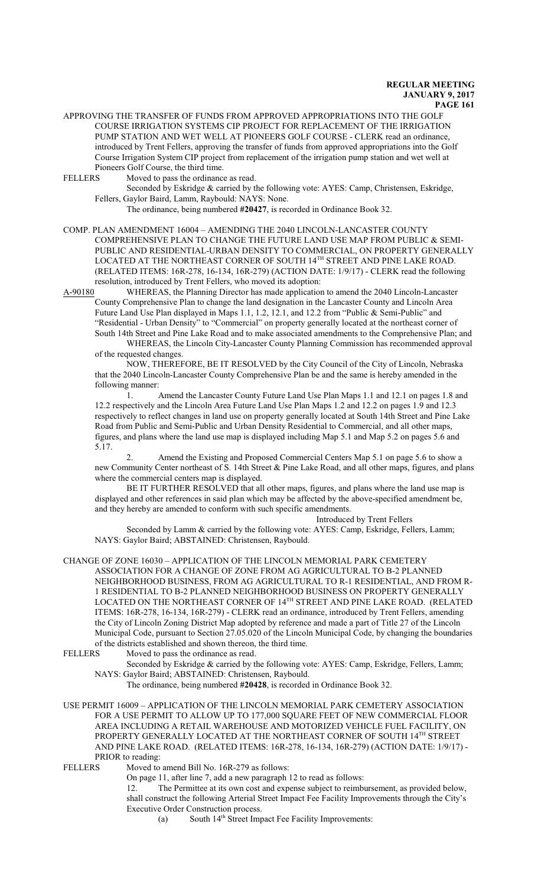APPROVING THE TRANSFER OF FUNDS FROM APPROVED APPROPRIATIONS INTO THE GOLF COURSE IRRIGATION SYSTEMS CIP PROJECT FOR REPLACEMENT OF THE IRRIGATION PUMP STATION AND WET WELL AT PIONEERS GOLF COURSE - CLERK read an ordinance, introduced by Trent Fellers, approving the transfer of funds from approved appropriations into the Golf Course Irrigation System CIP project from replacement of the irrigation pump station and wet well at Pioneers Golf Course, the third time.<br>FELLERS Moved to pass the ordinance

Moved to pass the ordinance as read.

Seconded by Eskridge & carried by the following vote: AYES: Camp, Christensen, Eskridge, Fellers, Gaylor Baird, Lamm, Raybould: NAYS: None.

The ordinance, being numbered **#20427**, is recorded in Ordinance Book 32.

COMP. PLAN AMENDMENT 16004 – AMENDING THE 2040 LINCOLN-LANCASTER COUNTY COMPREHENSIVE PLAN TO CHANGE THE FUTURE LAND USE MAP FROM PUBLIC & SEMI-PUBLIC AND RESIDENTIAL-URBAN DENSITY TO COMMERCIAL, ON PROPERTY GENERALLY LOCATED AT THE NORTHEAST CORNER OF SOUTH  $14^{\text{\tiny{TH}}}$  STREET AND PINE LAKE ROAD. (RELATED ITEMS: 16R-278, 16-134, 16R-279) (ACTION DATE: 1/9/17) - CLERK read the following resolution, introduced by Trent Fellers, who moved its adoption:

A-90180 WHEREAS, the Planning Director has made application to amend the 2040 Lincoln-Lancaster County Comprehensive Plan to change the land designation in the Lancaster County and Lincoln Area Future Land Use Plan displayed in Maps 1.1, 1.2, 12.1, and 12.2 from "Public & Semi-Public" and "Residential - Urban Density" to "Commercial" on property generally located at the northeast corner of

South 14th Street and Pine Lake Road and to make associated amendments to the Comprehensive Plan; and WHEREAS, the Lincoln City-Lancaster County Planning Commission has recommended approval of the requested changes.

NOW, THEREFORE, BE IT RESOLVED by the City Council of the City of Lincoln, Nebraska that the 2040 Lincoln-Lancaster County Comprehensive Plan be and the same is hereby amended in the following manner:

1. Amend the Lancaster County Future Land Use Plan Maps 1.1 and 12.1 on pages 1.8 and 12.2 respectively and the Lincoln Area Future Land Use Plan Maps 1.2 and 12.2 on pages 1.9 and 12.3 respectively to reflect changes in land use on property generally located at South 14th Street and Pine Lake Road from Public and Semi-Public and Urban Density Residential to Commercial, and all other maps, figures, and plans where the land use map is displayed including Map 5.1 and Map 5.2 on pages 5.6 and 5.17.

2. Amend the Existing and Proposed Commercial Centers Map 5.1 on page 5.6 to show a new Community Center northeast of S. 14th Street & Pine Lake Road, and all other maps, figures, and plans where the commercial centers map is displayed.

BE IT FURTHER RESOLVED that all other maps, figures, and plans where the land use map is displayed and other references in said plan which may be affected by the above-specified amendment be, and they hereby are amended to conform with such specific amendments.

Introduced by Trent Fellers

Seconded by Lamm & carried by the following vote: AYES: Camp, Eskridge, Fellers, Lamm; NAYS: Gaylor Baird; ABSTAINED: Christensen, Raybould.

CHANGE OF ZONE 16030 – APPLICATION OF THE LINCOLN MEMORIAL PARK CEMETERY ASSOCIATION FOR A CHANGE OF ZONE FROM AG AGRICULTURAL TO B-2 PLANNED NEIGHBORHOOD BUSINESS, FROM AG AGRICULTURAL TO R-1 RESIDENTIAL, AND FROM R-1 RESIDENTIAL TO B-2 PLANNED NEIGHBORHOOD BUSINESS ON PROPERTY GENERALLY LOCATED ON THE NORTHEAST CORNER OF 14 TH STREET AND PINE LAKE ROAD. (RELATED ITEMS: 16R-278, 16-134, 16R-279) - CLERK read an ordinance, introduced by Trent Fellers, amending the City of Lincoln Zoning District Map adopted by reference and made a part of Title 27 of the Lincoln Municipal Code, pursuant to Section 27.05.020 of the Lincoln Municipal Code, by changing the boundaries of the districts established and shown thereon, the third time.<br>FELLERS Moved to pass the ordinance as read.

Moved to pass the ordinance as read.

Seconded by Eskridge & carried by the following vote: AYES: Camp, Eskridge, Fellers, Lamm; NAYS: Gaylor Baird; ABSTAINED: Christensen, Raybould.

The ordinance, being numbered **#20428**, is recorded in Ordinance Book 32.

USE PERMIT 16009 – APPLICATION OF THE LINCOLN MEMORIAL PARK CEMETERY ASSOCIATION FOR A USE PERMIT TO ALLOW UP TO 177,000 SQUARE FEET OF NEW COMMERCIAL FLOOR AREA INCLUDING A RETAIL WAREHOUSE AND MOTORIZED VEHICLE FUEL FACILITY, ON PROPERTY GENERALLY LOCATED AT THE NORTHEAST CORNER OF SOUTH 14<sup>th</sup> STREET AND PINE LAKE ROAD. (RELATED ITEMS: 16R-278, 16-134, 16R-279) (ACTION DATE: 1/9/17) - PRIOR to reading:

FELLERS Moved to amend Bill No. 16R-279 as follows:

On page 11, after line 7, add a new paragraph 12 to read as follows:

12. The Permittee at its own cost and expense subject to reimbursement, as provided below, shall construct the following Arterial Street Impact Fee Facility Improvements through the City's Executive Order Construction process.

(a) South 14 th Street Impact Fee Facility Improvements: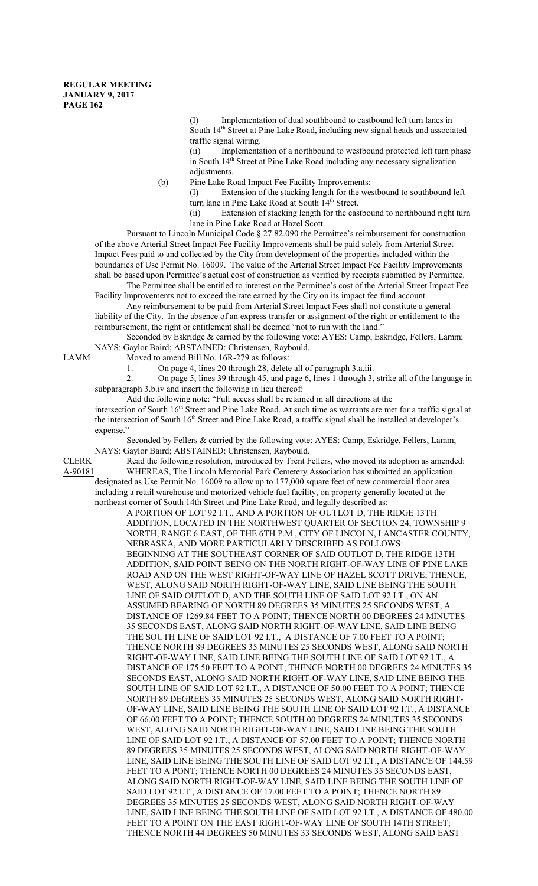(I) Implementation of dual southbound to eastbound left turn lanes in South 14<sup>th</sup> Street at Pine Lake Road, including new signal heads and associated traffic signal wiring.

(ii) Implementation of a northbound to westbound protected left turn phase in South 14<sup>th</sup> Street at Pine Lake Road including any necessary signalization adjustments.

(b) Pine Lake Road Impact Fee Facility Improvements:

(I) Extension of the stacking length for the westbound to southbound left turn lane in Pine Lake Road at South 14<sup>th</sup> Street.

(ii) Extension of stacking length for the eastbound to northbound right turn lane in Pine Lake Road at Hazel Scott.

Pursuant to Lincoln Municipal Code § 27.82.090 the Permittee's reimbursement for construction of the above Arterial Street Impact Fee Facility Improvements shall be paid solely from Arterial Street Impact Fees paid to and collected by the City from development of the properties included within the boundaries of Use Permit No. 16009. The value of the Arterial Street Impact Fee Facility Improvements shall be based upon Permittee's actual cost of construction as verified by receipts submitted by Permittee.

The Permittee shall be entitled to interest on the Permittee's cost of the Arterial Street Impact Fee Facility Improvements not to exceed the rate earned by the City on its impact fee fund account.

Any reimbursement to be paid from Arterial Street Impact Fees shall not constitute a general liability of the City. In the absence of an express transfer or assignment of the right or entitlement to the reimbursement, the right or entitlement shall be deemed "not to run with the land."

Seconded by Eskridge & carried by the following vote: AYES: Camp, Eskridge, Fellers, Lamm; NAYS: Gaylor Baird; ABSTAINED: Christensen, Raybould.

LAMM Moved to amend Bill No. 16R-279 as follows:

1. On page 4, lines 20 through 28, delete all of paragraph 3.a.iii.

2. On page 5, lines 39 through 45, and page 6, lines 1 through 3, strike all of the language in subparagraph 3.b.iv and insert the following in lieu thereof:

Add the following note: "Full access shall be retained in all directions at the

intersection of South 16<sup>th</sup> Street and Pine Lake Road. At such time as warrants are met for a traffic signal at the intersection of South 16<sup>th</sup> Street and Pine Lake Road, a traffic signal shall be installed at developer's expense."

Seconded by Fellers & carried by the following vote: AYES: Camp, Eskridge, Fellers, Lamm; NAYS: Gaylor Baird; ABSTAINED: Christensen, Raybould.

CLERK Read the following resolution, introduced by Trent Fellers, who moved its adoption as amended: A-90181 WHEREAS, The Lincoln Memorial Park Cemetery Association has submitted an application designated as Use Permit No. 16009 to allow up to 177,000 square feet of new commercial floor area including a retail warehouse and motorized vehicle fuel facility, on property generally located at the northeast corner of South 14th Street and Pine Lake Road, and legally described as:

> A PORTION OF LOT 92 I.T., AND A PORTION OF OUTLOT D, THE RIDGE 13TH ADDITION, LOCATED IN THE NORTHWEST QUARTER OF SECTION 24, TOWNSHIP 9 NORTH, RANGE 6 EAST, OF THE 6TH P.M., CITY OF LINCOLN, LANCASTER COUNTY, NEBRASKA, AND MORE PARTICULARLY DESCRIBED AS FOLLOWS: BEGINNING AT THE SOUTHEAST CORNER OF SAID OUTLOT D, THE RIDGE 13TH ADDITION, SAID POINT BEING ON THE NORTH RIGHT-OF-WAY LINE OF PINE LAKE ROAD AND ON THE WEST RIGHT-OF-WAY LINE OF HAZEL SCOTT DRIVE; THENCE, WEST, ALONG SAID NORTH RIGHT-OF-WAY LINE, SAID LINE BEING THE SOUTH LINE OF SAID OUTLOT D, AND THE SOUTH LINE OF SAID LOT 92 I.T., ON AN ASSUMED BEARING OF NORTH 89 DEGREES 35 MINUTES 25 SECONDS WEST, A DISTANCE OF 1269.84 FEET TO A POINT; THENCE NORTH 00 DEGREES 24 MINUTES 35 SECONDS EAST, ALONG SAID NORTH RIGHT-OF-WAY LINE, SAID LINE BEING THE SOUTH LINE OF SAID LOT 92 I.T., A DISTANCE OF 7.00 FEET TO A POINT; THENCE NORTH 89 DEGREES 35 MINUTES 25 SECONDS WEST, ALONG SAID NORTH RIGHT-OF-WAY LINE, SAID LINE BEING THE SOUTH LINE OF SAID LOT 92 I.T., A DISTANCE OF 175.50 FEET TO A POINT; THENCE NORTH 00 DEGREES 24 MINUTES 35 SECONDS EAST, ALONG SAID NORTH RIGHT-OF-WAY LINE, SAID LINE BEING THE SOUTH LINE OF SAID LOT 92 I.T., A DISTANCE OF 50.00 FEET TO A POINT; THENCE NORTH 89 DEGREES 35 MINUTES 25 SECONDS WEST, ALONG SAID NORTH RIGHT-OF-WAY LINE, SAID LINE BEING THE SOUTH LINE OF SAID LOT 92 I.T., A DISTANCE OF 66.00 FEET TO A POINT; THENCE SOUTH 00 DEGREES 24 MINUTES 35 SECONDS WEST, ALONG SAID NORTH RIGHT-OF-WAY LINE, SAID LINE BEING THE SOUTH LINE OF SAID LOT 92 I.T., A DISTANCE OF 57.00 FEET TO A POINT; THENCE NORTH 89 DEGREES 35 MINUTES 25 SECONDS WEST, ALONG SAID NORTH RIGHT-OF-WAY LINE, SAID LINE BEING THE SOUTH LINE OF SAID LOT 92 I.T., A DISTANCE OF 144.59 FEET TO A PONT; THENCE NORTH 00 DEGREES 24 MINUTES 35 SECONDS EAST, ALONG SAID NORTH RIGHT-OF-WAY LINE, SAID LINE BEING THE SOUTH LINE OF SAID LOT 92 I.T., A DISTANCE OF 17.00 FEET TO A POINT; THENCE NORTH 89 DEGREES 35 MINUTES 25 SECONDS WEST, ALONG SAID NORTH RIGHT-OF-WAY LINE, SAID LINE BEING THE SOUTH LINE OF SAID LOT 92 I.T., A DISTANCE OF 480.00 FEET TO A POINT ON THE EAST RIGHT-OF-WAY LINE OF SOUTH 14TH STREET; THENCE NORTH 44 DEGREES 50 MINUTES 33 SECONDS WEST, ALONG SAID EAST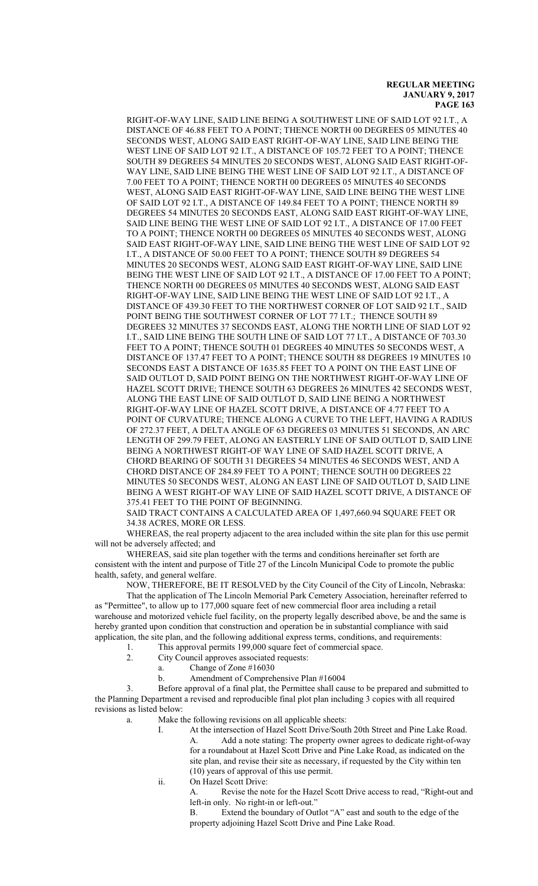RIGHT-OF-WAY LINE, SAID LINE BEING A SOUTHWEST LINE OF SAID LOT 92 I.T., A DISTANCE OF 46.88 FEET TO A POINT; THENCE NORTH 00 DEGREES 05 MINUTES 40 SECONDS WEST, ALONG SAID EAST RIGHT-OF-WAY LINE, SAID LINE BEING THE WEST LINE OF SAID LOT 92 I.T., A DISTANCE OF 105.72 FEET TO A POINT; THENCE SOUTH 89 DEGREES 54 MINUTES 20 SECONDS WEST, ALONG SAID EAST RIGHT-OF-WAY LINE, SAID LINE BEING THE WEST LINE OF SAID LOT 92 I.T., A DISTANCE OF 7.00 FEET TO A POINT; THENCE NORTH 00 DEGREES 05 MINUTES 40 SECONDS WEST, ALONG SAID EAST RIGHT-OF-WAY LINE, SAID LINE BEING THE WEST LINE OF SAID LOT 92 I.T., A DISTANCE OF 149.84 FEET TO A POINT; THENCE NORTH 89 DEGREES 54 MINUTES 20 SECONDS EAST, ALONG SAID EAST RIGHT-OF-WAY LINE, SAID LINE BEING THE WEST LINE OF SAID LOT 92 I.T., A DISTANCE OF 17.00 FEET TO A POINT; THENCE NORTH 00 DEGREES 05 MINUTES 40 SECONDS WEST, ALONG SAID EAST RIGHT-OF-WAY LINE, SAID LINE BEING THE WEST LINE OF SAID LOT 92 I.T., A DISTANCE OF 50.00 FEET TO A POINT; THENCE SOUTH 89 DEGREES 54 MINUTES 20 SECONDS WEST, ALONG SAID EAST RIGHT-OF-WAY LINE, SAID LINE BEING THE WEST LINE OF SAID LOT 92 I.T., A DISTANCE OF 17.00 FEET TO A POINT; THENCE NORTH 00 DEGREES 05 MINUTES 40 SECONDS WEST, ALONG SAID EAST RIGHT-OF-WAY LINE, SAID LINE BEING THE WEST LINE OF SAID LOT 92 I.T., A DISTANCE OF 439.30 FEET TO THE NORTHWEST CORNER OF LOT SAID 92 I.T., SAID POINT BEING THE SOUTHWEST CORNER OF LOT 77 I.T.; THENCE SOUTH 89 DEGREES 32 MINUTES 37 SECONDS EAST, ALONG THE NORTH LINE OF SIAD LOT 92 I.T., SAID LINE BEING THE SOUTH LINE OF SAID LOT 77 I.T., A DISTANCE OF 703.30 FEET TO A POINT; THENCE SOUTH 01 DEGREES 40 MINUTES 50 SECONDS WEST, A DISTANCE OF 137.47 FEET TO A POINT; THENCE SOUTH 88 DEGREES 19 MINUTES 10 SECONDS EAST A DISTANCE OF 1635.85 FEET TO A POINT ON THE EAST LINE OF SAID OUTLOT D, SAID POINT BEING ON THE NORTHWEST RIGHT-OF-WAY LINE OF HAZEL SCOTT DRIVE; THENCE SOUTH 63 DEGREES 26 MINUTES 42 SECONDS WEST, ALONG THE EAST LINE OF SAID OUTLOT D, SAID LINE BEING A NORTHWEST RIGHT-OF-WAY LINE OF HAZEL SCOTT DRIVE, A DISTANCE OF 4.77 FEET TO A POINT OF CURVATURE; THENCE ALONG A CURVE TO THE LEFT, HAVING A RADIUS OF 272.37 FEET, A DELTA ANGLE OF 63 DEGREES 03 MINUTES 51 SECONDS, AN ARC LENGTH OF 299.79 FEET, ALONG AN EASTERLY LINE OF SAID OUTLOT D, SAID LINE BEING A NORTHWEST RIGHT-OF WAY LINE OF SAID HAZEL SCOTT DRIVE, A CHORD BEARING OF SOUTH 31 DEGREES 54 MINUTES 46 SECONDS WEST, AND A CHORD DISTANCE OF 284.89 FEET TO A POINT; THENCE SOUTH 00 DEGREES 22 MINUTES 50 SECONDS WEST, ALONG AN EAST LINE OF SAID OUTLOT D, SAID LINE BEING A WEST RIGHT-OF WAY LINE OF SAID HAZEL SCOTT DRIVE, A DISTANCE OF 375.41 FEET TO THE POINT OF BEGINNING.

SAID TRACT CONTAINS A CALCULATED AREA OF 1,497,660.94 SQUARE FEET OR 34.38 ACRES, MORE OR LESS.

WHEREAS, the real property adjacent to the area included within the site plan for this use permit will not be adversely affected; and

WHEREAS, said site plan together with the terms and conditions hereinafter set forth are consistent with the intent and purpose of Title 27 of the Lincoln Municipal Code to promote the public health, safety, and general welfare.

NOW, THEREFORE, BE IT RESOLVED by the City Council of the City of Lincoln, Nebraska:

That the application of The Lincoln Memorial Park Cemetery Association, hereinafter referred to as "Permittee", to allow up to 177,000 square feet of new commercial floor area including a retail warehouse and motorized vehicle fuel facility, on the property legally described above, be and the same is hereby granted upon condition that construction and operation be in substantial compliance with said application, the site plan, and the following additional express terms, conditions, and requirements:

- 1. This approval permits 199,000 square feet of commercial space.
- 2. City Council approves associated requests:
	- a. Change of Zone #16030
		- b. Amendment of Comprehensive Plan #16004

3. Before approval of a final plat, the Permittee shall cause to be prepared and submitted to the Planning Department a revised and reproducible final plot plan including 3 copies with all required revisions as listed below:

- a. Make the following revisions on all applicable sheets:
	- I. At the intersection of Hazel Scott Drive/South 20th Street and Pine Lake Road. A. Add a note stating: The property owner agrees to dedicate right-of-way for a roundabout at Hazel Scott Drive and Pine Lake Road, as indicated on the site plan, and revise their site as necessary, if requested by the City within ten (10) years of approval of this use permit.
	- ii. On Hazel Scott Drive:

A. Revise the note for the Hazel Scott Drive access to read, "Right-out and left-in only. No right-in or left-out."

B. Extend the boundary of Outlot "A" east and south to the edge of the property adjoining Hazel Scott Drive and Pine Lake Road.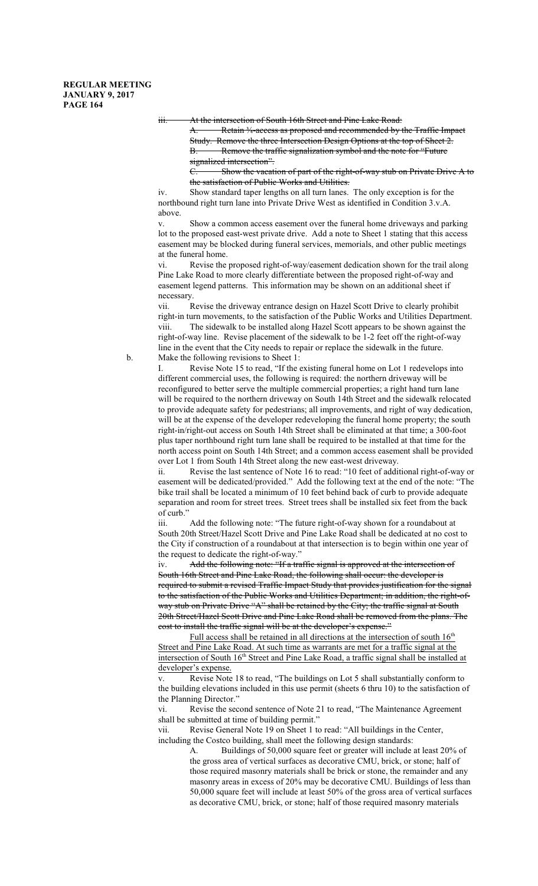iii. At the intersection of South 16th Street and Pine Lake Road:

A. Retain <sup>34-access</sup> as proposed and recommended by the Traffic Impact Study. Remove the three Intersection Design Options at the top of Sheet 2. B. Remove the traffic signalization symbol and the note for "Future signalized intersection".

C. Show the vacation of part of the right-of-way stub on Private Drive A to the satisfaction of Public Works and Utilities.

iv. Show standard taper lengths on all turn lanes. The only exception is for the northbound right turn lane into Private Drive West as identified in Condition 3.v.A. above.

v. Show a common access easement over the funeral home driveways and parking lot to the proposed east-west private drive. Add a note to Sheet 1 stating that this access easement may be blocked during funeral services, memorials, and other public meetings at the funeral home.

vi. Revise the proposed right-of-way/easement dedication shown for the trail along Pine Lake Road to more clearly differentiate between the proposed right-of-way and easement legend patterns. This information may be shown on an additional sheet if necessary.

vii. Revise the driveway entrance design on Hazel Scott Drive to clearly prohibit right-in turn movements, to the satisfaction of the Public Works and Utilities Department. viii. The sidewalk to be installed along Hazel Scott appears to be shown against the right-of-way line. Revise placement of the sidewalk to be 1-2 feet off the right-of-way line in the event that the City needs to repair or replace the sidewalk in the future. b. Make the following revisions to Sheet 1:

I. Revise Note 15 to read, "If the existing funeral home on Lot 1 redevelops into different commercial uses, the following is required: the northern driveway will be reconfigured to better serve the multiple commercial properties; a right hand turn lane will be required to the northern driveway on South 14th Street and the sidewalk relocated to provide adequate safety for pedestrians; all improvements, and right of way dedication, will be at the expense of the developer redeveloping the funeral home property; the south right-in/right-out access on South 14th Street shall be eliminated at that time; a 300-foot plus taper northbound right turn lane shall be required to be installed at that time for the north access point on South 14th Street; and a common access easement shall be provided over Lot 1 from South 14th Street along the new east-west driveway.

ii. Revise the last sentence of Note 16 to read: "10 feet of additional right-of-way or easement will be dedicated/provided." Add the following text at the end of the note: "The bike trail shall be located a minimum of 10 feet behind back of curb to provide adequate separation and room for street trees. Street trees shall be installed six feet from the back of curb."

iii. Add the following note: "The future right-of-way shown for a roundabout at South 20th Street/Hazel Scott Drive and Pine Lake Road shall be dedicated at no cost to the City if construction of a roundabout at that intersection is to begin within one year of the request to dedicate the right-of-way."

iv. Add the following note: "If a traffic signal is approved at the intersection of South 16th Street and Pine Lake Road, the following shall occur: the developer is required to submit a revised Traffic Impact Study that provides justification for the signal to the satisfaction of the Public Works and Utilities Department; in addition, the right-ofway stub on Private Drive "A" shall be retained by the City; the traffic signal at South 20th Street/Hazel Scott Drive and Pine Lake Road shall be removed from the plans. The cost to install the traffic signal will be at the developer's expense."

Full access shall be retained in all directions at the intersection of south 16<sup>th</sup> Street and Pine Lake Road. At such time as warrants are met for a traffic signal at the intersection of South 16<sup>th</sup> Street and Pine Lake Road, a traffic signal shall be installed at developer's expense.

v. Revise Note 18 to read, "The buildings on Lot 5 shall substantially conform to the building elevations included in this use permit (sheets 6 thru 10) to the satisfaction of the Planning Director."

vi. Revise the second sentence of Note 21 to read, "The Maintenance Agreement shall be submitted at time of building permit."

vii. Revise General Note 19 on Sheet 1 to read: "All buildings in the Center, including the Costco building, shall meet the following design standards:

> A. Buildings of 50,000 square feet or greater will include at least 20% of the gross area of vertical surfaces as decorative CMU, brick, or stone; half of those required masonry materials shall be brick or stone, the remainder and any masonry areas in excess of 20% may be decorative CMU. Buildings of less than 50,000 square feet will include at least 50% of the gross area of vertical surfaces as decorative CMU, brick, or stone; half of those required masonry materials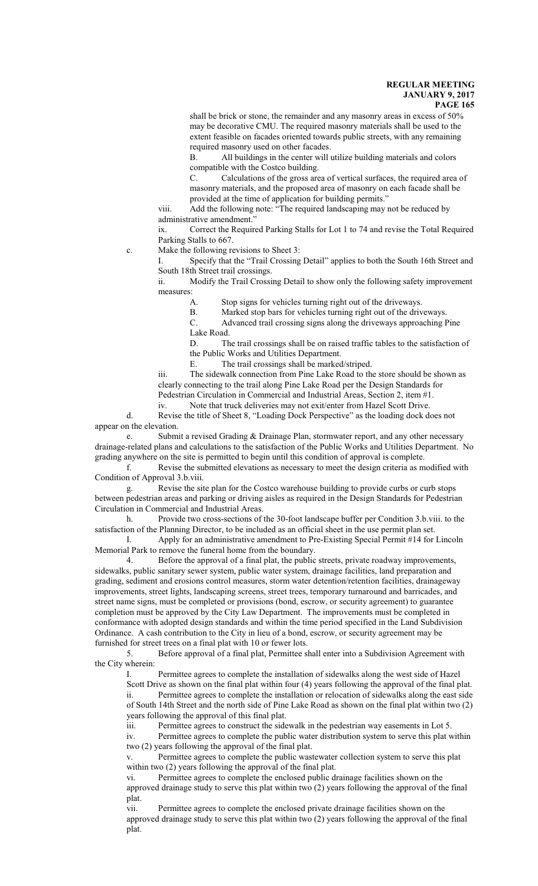shall be brick or stone, the remainder and any masonry areas in excess of 50% may be decorative CMU. The required masonry materials shall be used to the extent feasible on facades oriented towards public streets, with any remaining required masonry used on other facades.

B. All buildings in the center will utilize building materials and colors compatible with the Costco building.

C. Calculations of the gross area of vertical surfaces, the required area of masonry materials, and the proposed area of masonry on each facade shall be provided at the time of application for building permits."

viii. Add the following note: "The required landscaping may not be reduced by administrative amendment.'

ix. Correct the Required Parking Stalls for Lot 1 to 74 and revise the Total Required Parking Stalls to 667.

c. Make the following revisions to Sheet 3:

I. Specify that the "Trail Crossing Detail" applies to both the South 16th Street and South 18th Street trail crossings.

ii. Modify the Trail Crossing Detail to show only the following safety improvement measures:

A. Stop signs for vehicles turning right out of the driveways.

B. Marked stop bars for vehicles turning right out of the driveways.

C. Advanced trail crossing signs along the driveways approaching Pine Lake Road.

D. The trail crossings shall be on raised traffic tables to the satisfaction of the Public Works and Utilities Department.

E. The trail crossings shall be marked/striped.

iii. The sidewalk connection from Pine Lake Road to the store should be shown as clearly connecting to the trail along Pine Lake Road per the Design Standards for Pedestrian Circulation in Commercial and Industrial Areas, Section 2, item #1.

iv. Note that truck deliveries may not exit/enter from Hazel Scott Drive. d. Revise the title of Sheet 8, "Loading Dock Perspective" as the loading dock does not appear on the elevation.

e. Submit a revised Grading & Drainage Plan, stormwater report, and any other necessary drainage-related plans and calculations to the satisfaction of the Public Works and Utilities Department. No grading anywhere on the site is permitted to begin until this condition of approval is complete.

f. Revise the submitted elevations as necessary to meet the design criteria as modified with Condition of Approval 3.b.viii.

g. Revise the site plan for the Costco warehouse building to provide curbs or curb stops between pedestrian areas and parking or driving aisles as required in the Design Standards for Pedestrian Circulation in Commercial and Industrial Areas.

h. Provide two cross-sections of the 30-foot landscape buffer per Condition 3.b.viii. to the satisfaction of the Planning Director, to be included as an official sheet in the use permit plan set.

I. Apply for an administrative amendment to Pre-Existing Special Permit #14 for Lincoln Memorial Park to remove the funeral home from the boundary.

4. Before the approval of a final plat, the public streets, private roadway improvements, sidewalks, public sanitary sewer system, public water system, drainage facilities, land preparation and grading, sediment and erosions control measures, storm water detention/retention facilities, drainageway improvements, street lights, landscaping screens, street trees, temporary turnaround and barricades, and street name signs, must be completed or provisions (bond, escrow, or security agreement) to guarantee completion must be approved by the City Law Department. The improvements must be completed in conformance with adopted design standards and within the time period specified in the Land Subdivision Ordinance. A cash contribution to the City in lieu of a bond, escrow, or security agreement may be furnished for street trees on a final plat with 10 or fewer lots.

5. Before approval of a final plat, Permittee shall enter into a Subdivision Agreement with the City wherein:

I. Permittee agrees to complete the installation of sidewalks along the west side of Hazel Scott Drive as shown on the final plat within four (4) years following the approval of the final plat. ii. Permittee agrees to complete the installation or relocation of sidewalks along the east side of South 14th Street and the north side of Pine Lake Road as shown on the final plat within two (2) years following the approval of this final plat.

iii. Permittee agrees to construct the sidewalk in the pedestrian way easements in Lot 5. iv. Permittee agrees to complete the public water distribution system to serve this plat within two (2) years following the approval of the final plat.

v. Permittee agrees to complete the public wastewater collection system to serve this plat within two (2) years following the approval of the final plat.

vi. Permittee agrees to complete the enclosed public drainage facilities shown on the approved drainage study to serve this plat within two (2) years following the approval of the final plat.

vii. Permittee agrees to complete the enclosed private drainage facilities shown on the approved drainage study to serve this plat within two (2) years following the approval of the final plat.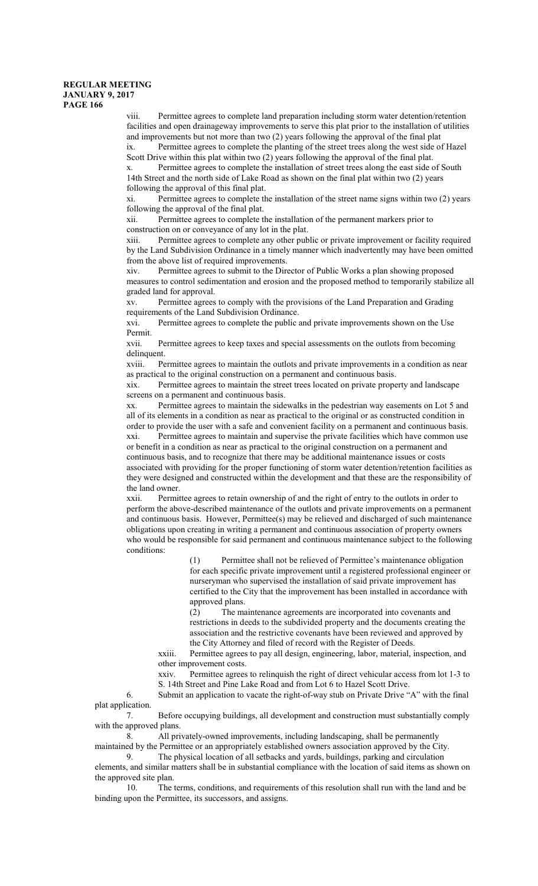viii. Permittee agrees to complete land preparation including storm water detention/retention facilities and open drainageway improvements to serve this plat prior to the installation of utilities and improvements but not more than two (2) years following the approval of the final plat ix. Permittee agrees to complete the planting of the street trees along the west side of Hazel Scott Drive within this plat within two (2) years following the approval of the final plat.

Permittee agrees to complete the installation of street trees along the east side of South 14th Street and the north side of Lake Road as shown on the final plat within two (2) years following the approval of this final plat.

Permittee agrees to complete the installation of the street name signs within two (2) years following the approval of the final plat.

xii. Permittee agrees to complete the installation of the permanent markers prior to construction on or conveyance of any lot in the plat.

xiii. Permittee agrees to complete any other public or private improvement or facility required by the Land Subdivision Ordinance in a timely manner which inadvertently may have been omitted from the above list of required improvements.

Permittee agrees to submit to the Director of Public Works a plan showing proposed measures to control sedimentation and erosion and the proposed method to temporarily stabilize all graded land for approval.

xv. Permittee agrees to comply with the provisions of the Land Preparation and Grading requirements of the Land Subdivision Ordinance.

xvi. Permittee agrees to complete the public and private improvements shown on the Use Permit.

xvii. Permittee agrees to keep taxes and special assessments on the outlots from becoming delinquent.

xviii. Permittee agrees to maintain the outlots and private improvements in a condition as near as practical to the original construction on a permanent and continuous basis.

xix. Permittee agrees to maintain the street trees located on private property and landscape screens on a permanent and continuous basis.

xx. Permittee agrees to maintain the sidewalks in the pedestrian way easements on Lot 5 and all of its elements in a condition as near as practical to the original or as constructed condition in order to provide the user with a safe and convenient facility on a permanent and continuous basis. xxi. Permittee agrees to maintain and supervise the private facilities which have common use or benefit in a condition as near as practical to the original construction on a permanent and continuous basis, and to recognize that there may be additional maintenance issues or costs associated with providing for the proper functioning of storm water detention/retention facilities as they were designed and constructed within the development and that these are the responsibility of the land owner.

xxii. Permittee agrees to retain ownership of and the right of entry to the outlots in order to perform the above-described maintenance of the outlots and private improvements on a permanent and continuous basis. However, Permittee(s) may be relieved and discharged of such maintenance obligations upon creating in writing a permanent and continuous association of property owners who would be responsible for said permanent and continuous maintenance subject to the following conditions:

> (1) Permittee shall not be relieved of Permittee's maintenance obligation for each specific private improvement until a registered professional engineer or nurseryman who supervised the installation of said private improvement has certified to the City that the improvement has been installed in accordance with approved plans.

(2) The maintenance agreements are incorporated into covenants and restrictions in deeds to the subdivided property and the documents creating the association and the restrictive covenants have been reviewed and approved by the City Attorney and filed of record with the Register of Deeds.

xxiii. Permittee agrees to pay all design, engineering, labor, material, inspection, and other improvement costs.

xxiv. Permittee agrees to relinquish the right of direct vehicular access from lot 1-3 to S. 14th Street and Pine Lake Road and from Lot 6 to Hazel Scott Drive.

6. Submit an application to vacate the right-of-way stub on Private Drive "A" with the final plat application.

7. Before occupying buildings, all development and construction must substantially comply with the approved plans.

8. All privately-owned improvements, including landscaping, shall be permanently maintained by the Permittee or an appropriately established owners association approved by the City.

9. The physical location of all setbacks and yards, buildings, parking and circulation

elements, and similar matters shall be in substantial compliance with the location of said items as shown on the approved site plan.

10. The terms, conditions, and requirements of this resolution shall run with the land and be binding upon the Permittee, its successors, and assigns.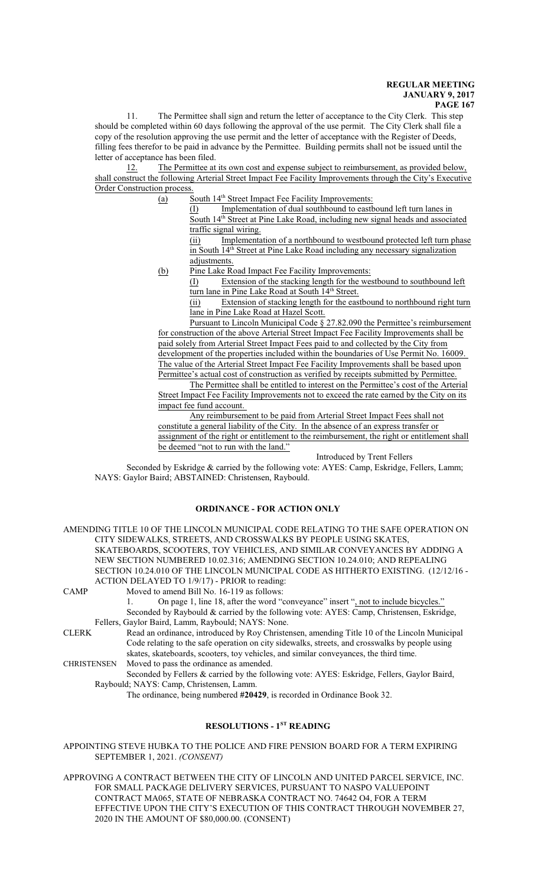The Permittee shall sign and return the letter of acceptance to the City Clerk. This step should be completed within 60 days following the approval of the use permit. The City Clerk shall file a copy of the resolution approving the use permit and the letter of acceptance with the Register of Deeds, filling fees therefor to be paid in advance by the Permittee. Building permits shall not be issued until the letter of acceptance has been filed.

12. The Permittee at its own cost and expense subject to reimbursement, as provided below, shall construct the following Arterial Street Impact Fee Facility Improvements through the City's Executive Order Construction process.

(a) South 14<sup>th</sup> Street Impact Fee Facility Improvements:

(I) Implementation of dual southbound to eastbound left turn lanes in South 14<sup>th</sup> Street at Pine Lake Road, including new signal heads and associated traffic signal wiring.

(ii) Implementation of a northbound to westbound protected left turn phase in South 14<sup>th</sup> Street at Pine Lake Road including any necessary signalization adjustments.

(b) Pine Lake Road Impact Fee Facility Improvements:

(I) Extension of the stacking length for the westbound to southbound left turn lane in Pine Lake Road at South 14<sup>th</sup> Street.

(ii) Extension of stacking length for the eastbound to northbound right turn lane in Pine Lake Road at Hazel Scott.

Pursuant to Lincoln Municipal Code § 27.82.090 the Permittee's reimbursement for construction of the above Arterial Street Impact Fee Facility Improvements shall be paid solely from Arterial Street Impact Fees paid to and collected by the City from development of the properties included within the boundaries of Use Permit No. 16009. The value of the Arterial Street Impact Fee Facility Improvements shall be based upon Permittee's actual cost of construction as verified by receipts submitted by Permittee.

The Permittee shall be entitled to interest on the Permittee's cost of the Arterial Street Impact Fee Facility Improvements not to exceed the rate earned by the City on its impact fee fund account.

Any reimbursement to be paid from Arterial Street Impact Fees shall not constitute a general liability of the City. In the absence of an express transfer or assignment of the right or entitlement to the reimbursement, the right or entitlement shall be deemed "not to run with the land."

Introduced by Trent Fellers

Seconded by Eskridge & carried by the following vote: AYES: Camp, Eskridge, Fellers, Lamm; NAYS: Gaylor Baird; ABSTAINED: Christensen, Raybould.

# **ORDINANCE - FOR ACTION ONLY**

AMENDING TITLE 10 OF THE LINCOLN MUNICIPAL CODE RELATING TO THE SAFE OPERATION ON CITY SIDEWALKS, STREETS, AND CROSSWALKS BY PEOPLE USING SKATES, SKATEBOARDS, SCOOTERS, TOY VEHICLES, AND SIMILAR CONVEYANCES BY ADDING A NEW SECTION NUMBERED 10.02.316; AMENDING SECTION 10.24.010; AND REPEALING SECTION 10.24.010 OF THE LINCOLN MUNICIPAL CODE AS HITHERTO EXISTING. (12/12/16 - ACTION DELAYED TO 1/9/17) - PRIOR to reading:

CAMP Moved to amend Bill No. 16-119 as follows: On page 1, line 18, after the word "conveyance" insert ", not to include bicycles." Seconded by Raybould & carried by the following vote: AYES: Camp, Christensen, Eskridge, Fellers, Gaylor Baird, Lamm, Raybould; NAYS: None. CLERK Read an ordinance, introduced by Roy Christensen, amending Title 10 of the Lincoln Municipal Code relating to the safe operation on city sidewalks, streets, and crosswalks by people using

skates, skateboards, scooters, toy vehicles, and similar conveyances, the third time. CHRISTENSEN Moved to pass the ordinance as amended. Seconded by Fellers & carried by the following vote: AYES: Eskridge, Fellers, Gaylor Baird, Raybould; NAYS: Camp, Christensen, Lamm.

The ordinance, being numbered **#20429**, is recorded in Ordinance Book 32.

## **RESOLUTIONS - 1ST READING**

APPOINTING STEVE HUBKA TO THE POLICE AND FIRE PENSION BOARD FOR A TERM EXPIRING SEPTEMBER 1, 2021. *(CONSENT)*

APPROVING A CONTRACT BETWEEN THE CITY OF LINCOLN AND UNITED PARCEL SERVICE, INC. FOR SMALL PACKAGE DELIVERY SERVICES, PURSUANT TO NASPO VALUEPOINT CONTRACT MA065, STATE OF NEBRASKA CONTRACT NO. 74642 O4, FOR A TERM EFFECTIVE UPON THE CITY'S EXECUTION OF THIS CONTRACT THROUGH NOVEMBER 27, 2020 IN THE AMOUNT OF \$80,000.00. (CONSENT)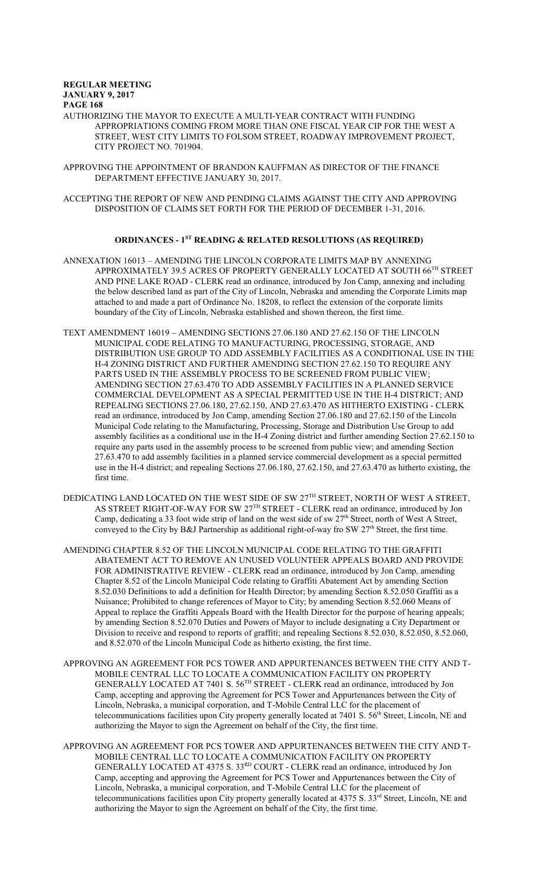AUTHORIZING THE MAYOR TO EXECUTE A MULTI-YEAR CONTRACT WITH FUNDING APPROPRIATIONS COMING FROM MORE THAN ONE FISCAL YEAR CIP FOR THE WEST A STREET, WEST CITY LIMITS TO FOLSOM STREET, ROADWAY IMPROVEMENT PROJECT, CITY PROJECT NO. 701904.

APPROVING THE APPOINTMENT OF BRANDON KAUFFMAN AS DIRECTOR OF THE FINANCE DEPARTMENT EFFECTIVE JANUARY 30, 2017.

ACCEPTING THE REPORT OF NEW AND PENDING CLAIMS AGAINST THE CITY AND APPROVING DISPOSITION OF CLAIMS SET FORTH FOR THE PERIOD OF DECEMBER 1-31, 2016.

# **ORDINANCES - 1ST READING & RELATED RESOLUTIONS (AS REQUIRED)**

ANNEXATION 16013 – AMENDING THE LINCOLN CORPORATE LIMITS MAP BY ANNEXING APPROXIMATELY 39.5 ACRES OF PROPERTY GENERALLY LOCATED AT SOUTH  $66^{\text{\tiny{TH}}}$  STREET AND PINE LAKE ROAD - CLERK read an ordinance, introduced by Jon Camp, annexing and including the below described land as part of the City of Lincoln, Nebraska and amending the Corporate Limits map attached to and made a part of Ordinance No. 18208, to reflect the extension of the corporate limits boundary of the City of Lincoln, Nebraska established and shown thereon, the first time.

- TEXT AMENDMENT 16019 AMENDING SECTIONS 27.06.180 AND 27.62.150 OF THE LINCOLN MUNICIPAL CODE RELATING TO MANUFACTURING, PROCESSING, STORAGE, AND DISTRIBUTION USE GROUP TO ADD ASSEMBLY FACILITIES AS A CONDITIONAL USE IN THE H-4 ZONING DISTRICT AND FURTHER AMENDING SECTION 27.62.150 TO REQUIRE ANY PARTS USED IN THE ASSEMBLY PROCESS TO BE SCREENED FROM PUBLIC VIEW; AMENDING SECTION 27.63.470 TO ADD ASSEMBLY FACILITIES IN A PLANNED SERVICE COMMERCIAL DEVELOPMENT AS A SPECIAL PERMITTED USE IN THE H-4 DISTRICT; AND REPEALING SECTIONS 27.06.180, 27.62.150, AND 27.63.470 AS HITHERTO EXISTING - CLERK read an ordinance, introduced by Jon Camp, amending Section 27.06.180 and 27.62.150 of the Lincoln Municipal Code relating to the Manufacturing, Processing, Storage and Distribution Use Group to add assembly facilities as a conditional use in the H-4 Zoning district and further amending Section 27.62.150 to require any parts used in the assembly process to be screened from public view; and amending Section 27.63.470 to add assembly facilities in a planned service commercial development as a special permitted use in the H-4 district; and repealing Sections 27.06.180, 27.62.150, and 27.63.470 as hitherto existing, the first time.
- DEDICATING LAND LOCATED ON THE WEST SIDE OF SW  $27^{\rm{TH}}$  STREET, NORTH OF WEST A STREET, AS STREET RIGHT-OF-WAY FOR SW 27TH STREET - CLERK read an ordinance, introduced by Jon Camp, dedicating a 33 foot wide strip of land on the west side of sw  $27<sup>th</sup>$  Street, north of West A Street, conveyed to the City by B&J Partnership as additional right-of-way fro SW 27<sup>th</sup> Street, the first time.
- AMENDING CHAPTER 8.52 OF THE LINCOLN MUNICIPAL CODE RELATING TO THE GRAFFITI ABATEMENT ACT TO REMOVE AN UNUSED VOLUNTEER APPEALS BOARD AND PROVIDE FOR ADMINISTRATIVE REVIEW - CLERK read an ordinance, introduced by Jon Camp, amending Chapter 8.52 of the Lincoln Municipal Code relating to Graffiti Abatement Act by amending Section 8.52.030 Definitions to add a definition for Health Director; by amending Section 8.52.050 Graffiti as a Nuisance; Prohibited to change references of Mayor to City; by amending Section 8.52.060 Means of Appeal to replace the Graffiti Appeals Board with the Health Director for the purpose of hearing appeals; by amending Section 8.52.070 Duties and Powers of Mayor to include designating a City Department or Division to receive and respond to reports of graffiti; and repealing Sections 8.52.030, 8.52.050, 8.52.060, and 8.52.070 of the Lincoln Municipal Code as hitherto existing, the first time.
- APPROVING AN AGREEMENT FOR PCS TOWER AND APPURTENANCES BETWEEN THE CITY AND T-MOBILE CENTRAL LLC TO LOCATE A COMMUNICATION FACILITY ON PROPERTY GENERALLY LOCATED AT 7401 S. 56<sup>TH</sup> STREET - CLERK read an ordinance, introduced by Jon Camp, accepting and approving the Agreement for PCS Tower and Appurtenances between the City of Lincoln, Nebraska, a municipal corporation, and T-Mobile Central LLC for the placement of telecommunications facilities upon City property generally located at 7401 S. 56<sup>th</sup> Street, Lincoln, NE and authorizing the Mayor to sign the Agreement on behalf of the City, the first time.
- APPROVING AN AGREEMENT FOR PCS TOWER AND APPURTENANCES BETWEEN THE CITY AND T-MOBILE CENTRAL LLC TO LOCATE A COMMUNICATION FACILITY ON PROPERTY GENERALLY LOCATED AT 4375 S. 33RD COURT - CLERK read an ordinance, introduced by Jon Camp, accepting and approving the Agreement for PCS Tower and Appurtenances between the City of Lincoln, Nebraska, a municipal corporation, and T-Mobile Central LLC for the placement of telecommunications facilities upon City property generally located at 4375 S. 33<sup>rd</sup> Street, Lincoln, NE and authorizing the Mayor to sign the Agreement on behalf of the City, the first time.